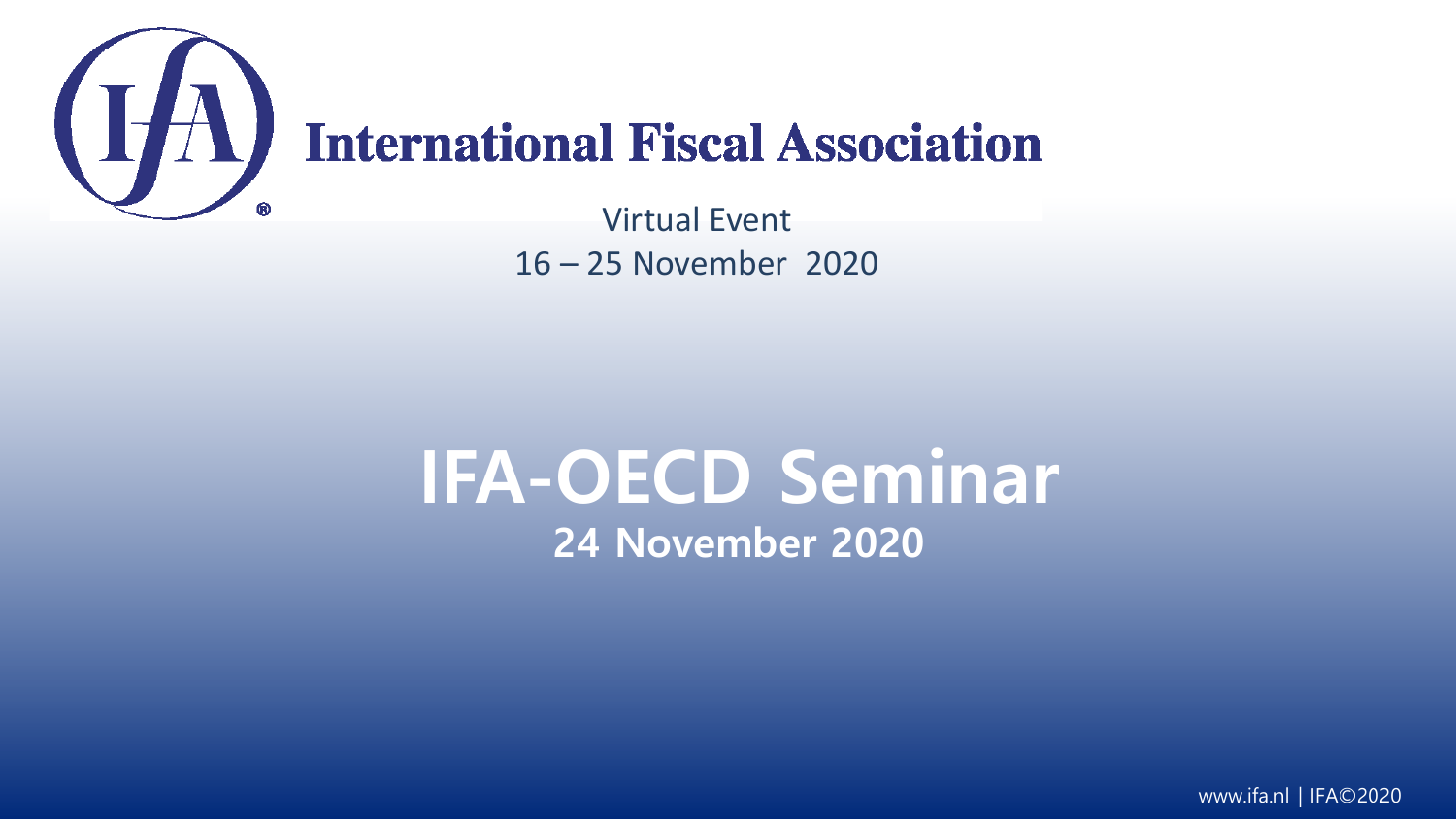

# **International Fiscal Association**

Virtual Event 16 – 25 November 2020

# **IFA-OECD Seminar 24 November 2020**

www.ifa.nl | IFA©2020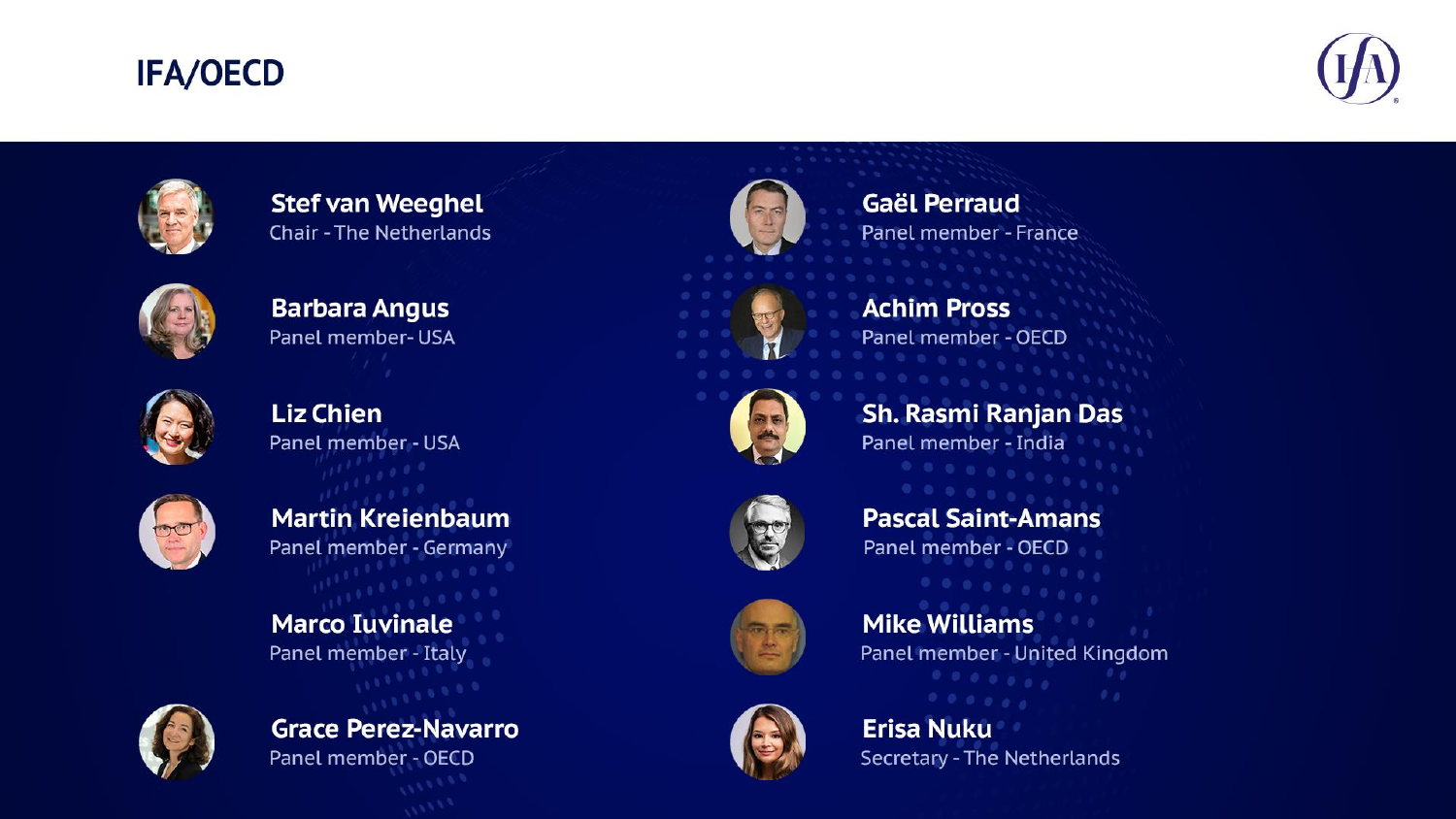#### **IFA/OECD**





**Stef van Weeghel Chair - The Netherlands** 



**Barbara Angus** Panel member-USA



**Grace Perez-Navarro Administration Director, Centre for Tax Policy and Administration, OECD** 



**Martin Kreienbaum**<br>**Panel member - Germany** 

**Marco Iuvinale Panel member - Italy** 



**Panel member - OECD** 



**Gaël Perraud** Panel member - France



**Achim Pross** Panel member - OECD





**Pascal Saint-Amans Galering Perror Perror of European and International Taxation**, French Ministry of Economy and French Ministry of Economy and Finance Perror Perror of Economy and Finance Perror Perror Perror Perror Perror Perror Perror P



**Mike Williams** Panel member - United Kingdom



**Stace Perez-Navarro**<br>Panel member - OECD<br>**Panel Tax Law, University of America** Secretary - The Netherlands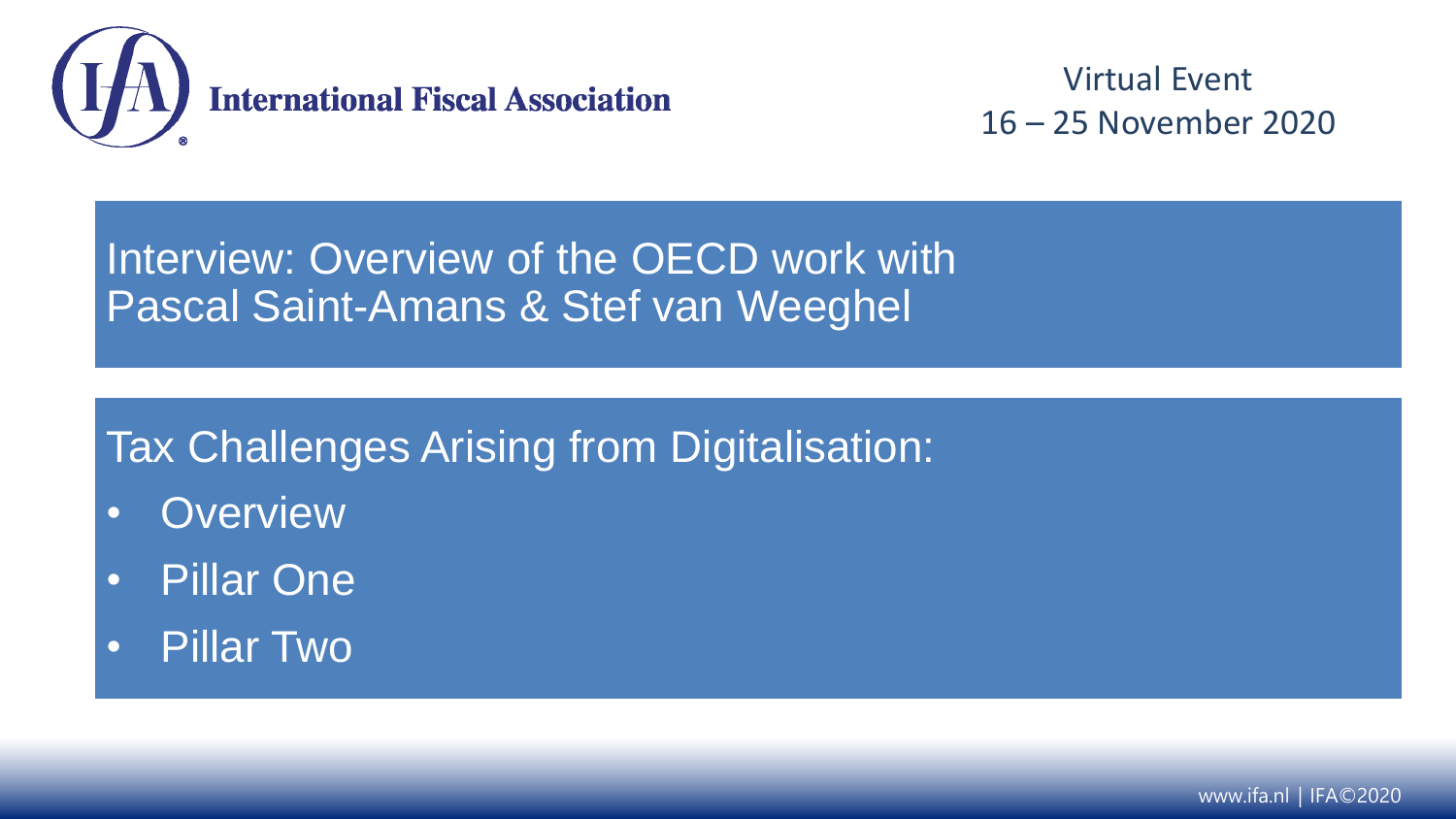

Interview: Overview of the OECD work with Pascal Saint-Amans & Stef van Weeghel

### Tax Challenges Arising from Digitalisation:

- Overview
- Pillar One
- Pillar Two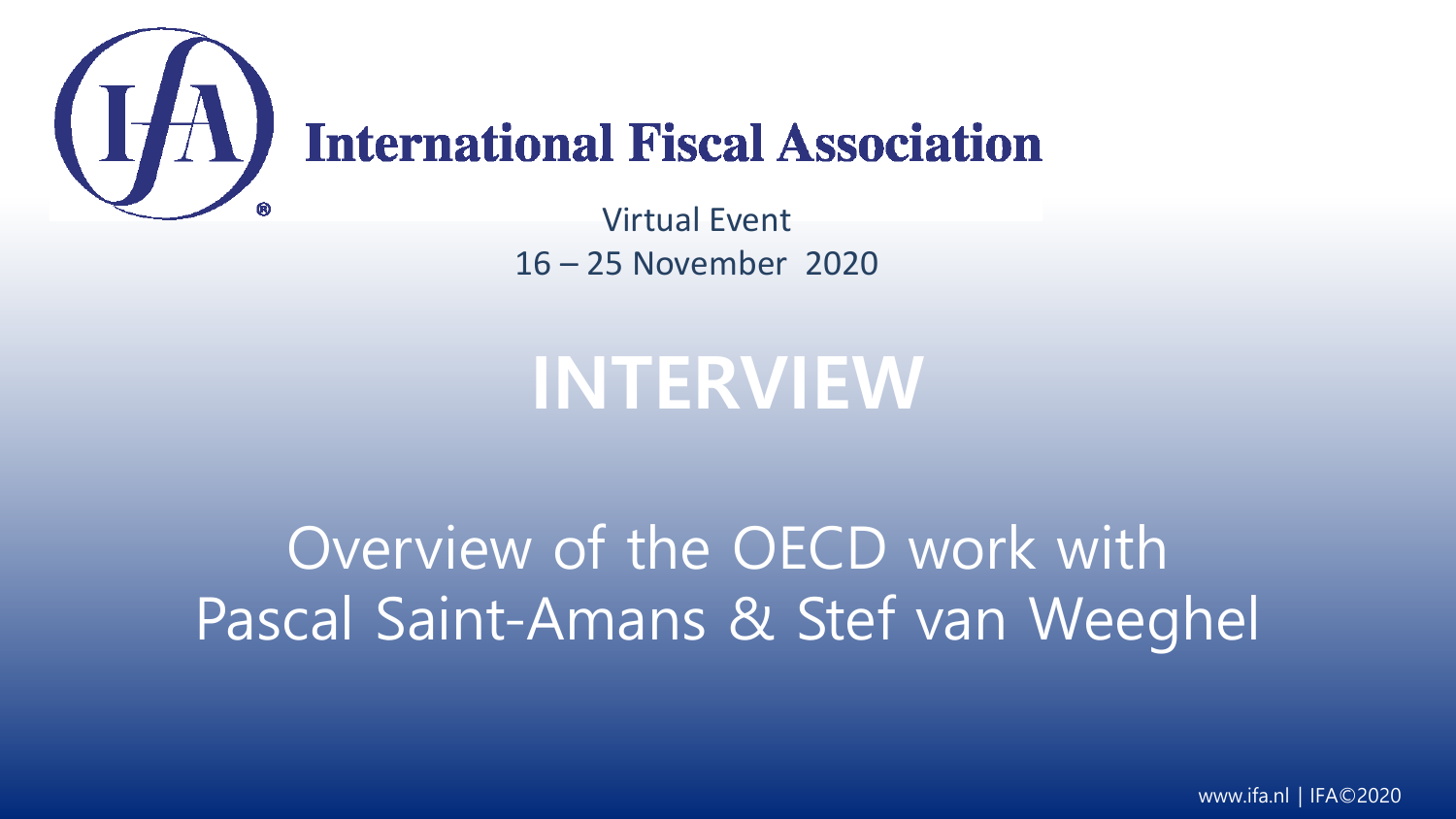

# **International Fiscal Association**

Virtual Event 16 – 25 November 2020

# **INTERVIEW**

# Overview of the OECD work with Pascal Saint-Amans & Stef van Weeghel

www.ifa.nl | IFA©2020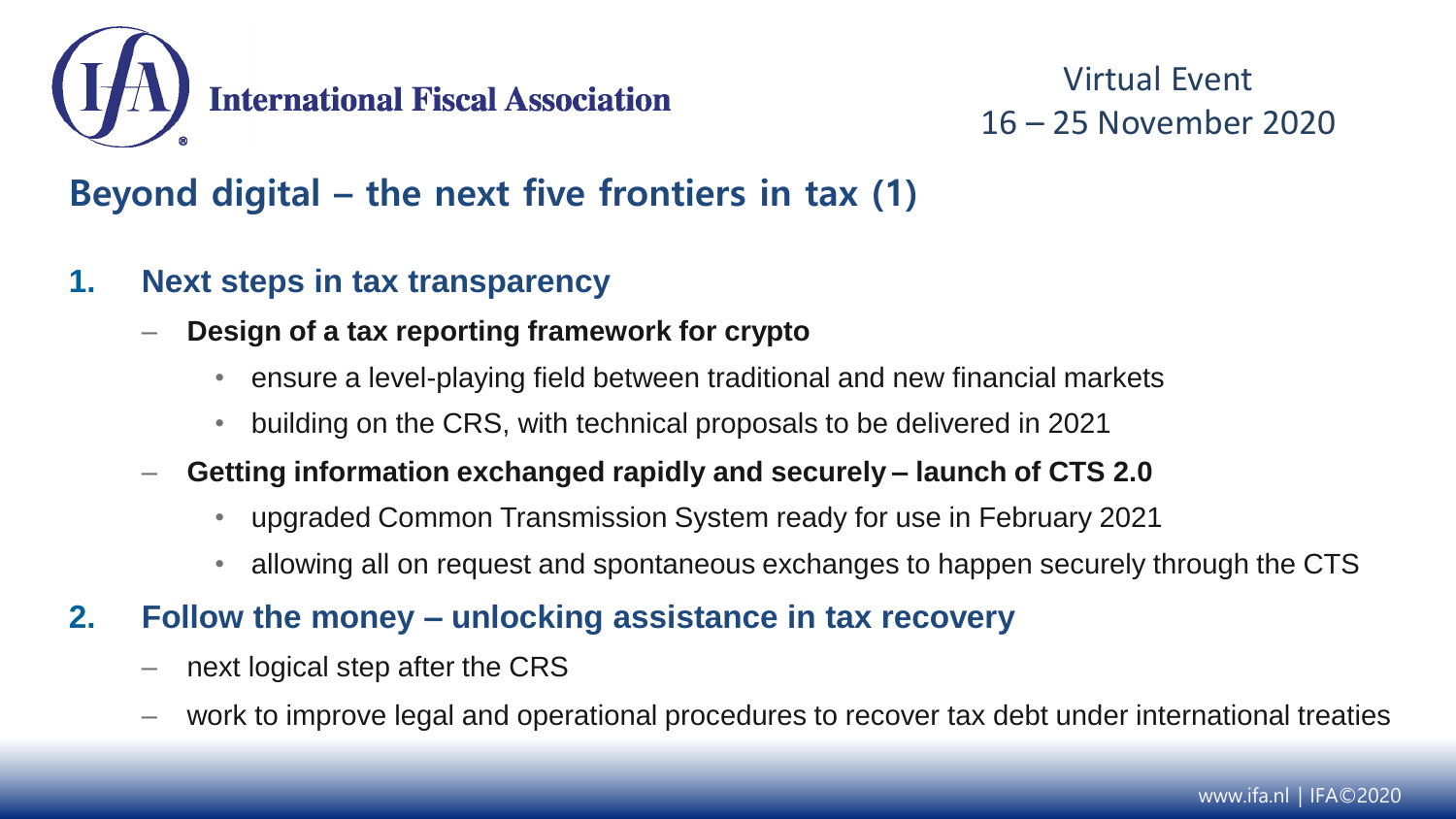

#### **Beyond digital – the next five frontiers in tax (1)**

- **1. Next steps in tax transparency** 
	- **Design of a tax reporting framework for crypto**
		- ensure a level-playing field between traditional and new financial markets
		- building on the CRS, with technical proposals to be delivered in 2021
	- **Getting information exchanged rapidly and securely – launch of CTS 2.0**
		- upgraded Common Transmission System ready for use in February 2021
		- allowing all on request and spontaneous exchanges to happen securely through the CTS
- **2. Follow the money – unlocking assistance in tax recovery**
	- next logical step after the CRS
	- work to improve legal and operational procedures to recover tax debt under international treaties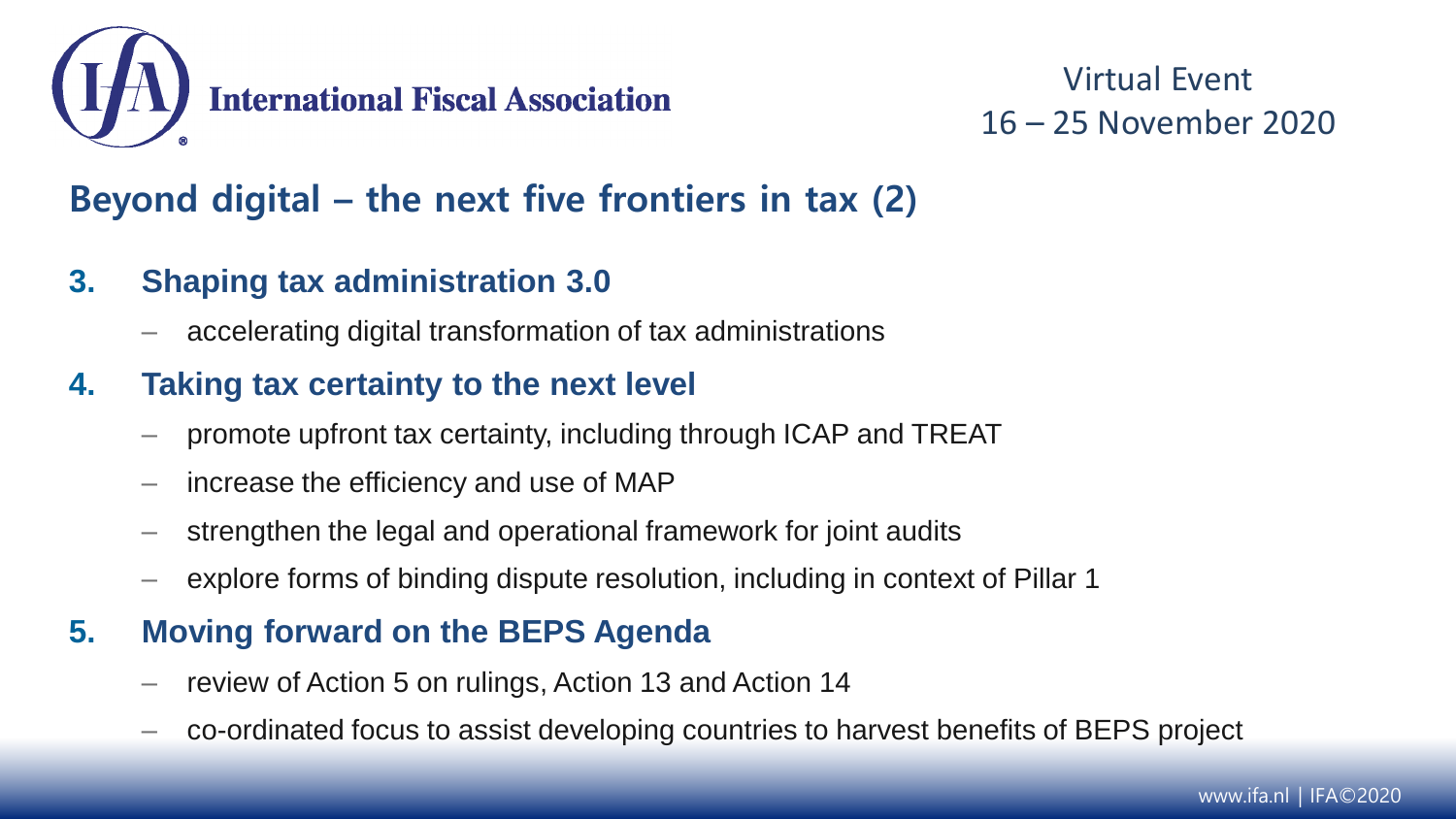

#### **Beyond digital – the next five frontiers in tax (2)**

- **3. Shaping tax administration 3.0** 
	- accelerating digital transformation of tax administrations

#### **4. Taking tax certainty to the next level**

- promote upfront tax certainty, including through ICAP and TREAT
- increase the efficiency and use of MAP
- strengthen the legal and operational framework for joint audits
- explore forms of binding dispute resolution, including in context of Pillar 1

#### **5. Moving forward on the BEPS Agenda**

- review of Action 5 on rulings, Action 13 and Action 14
- co-ordinated focus to assist developing countries to harvest benefits of BEPS project

www.ifa.nl | IFA©2020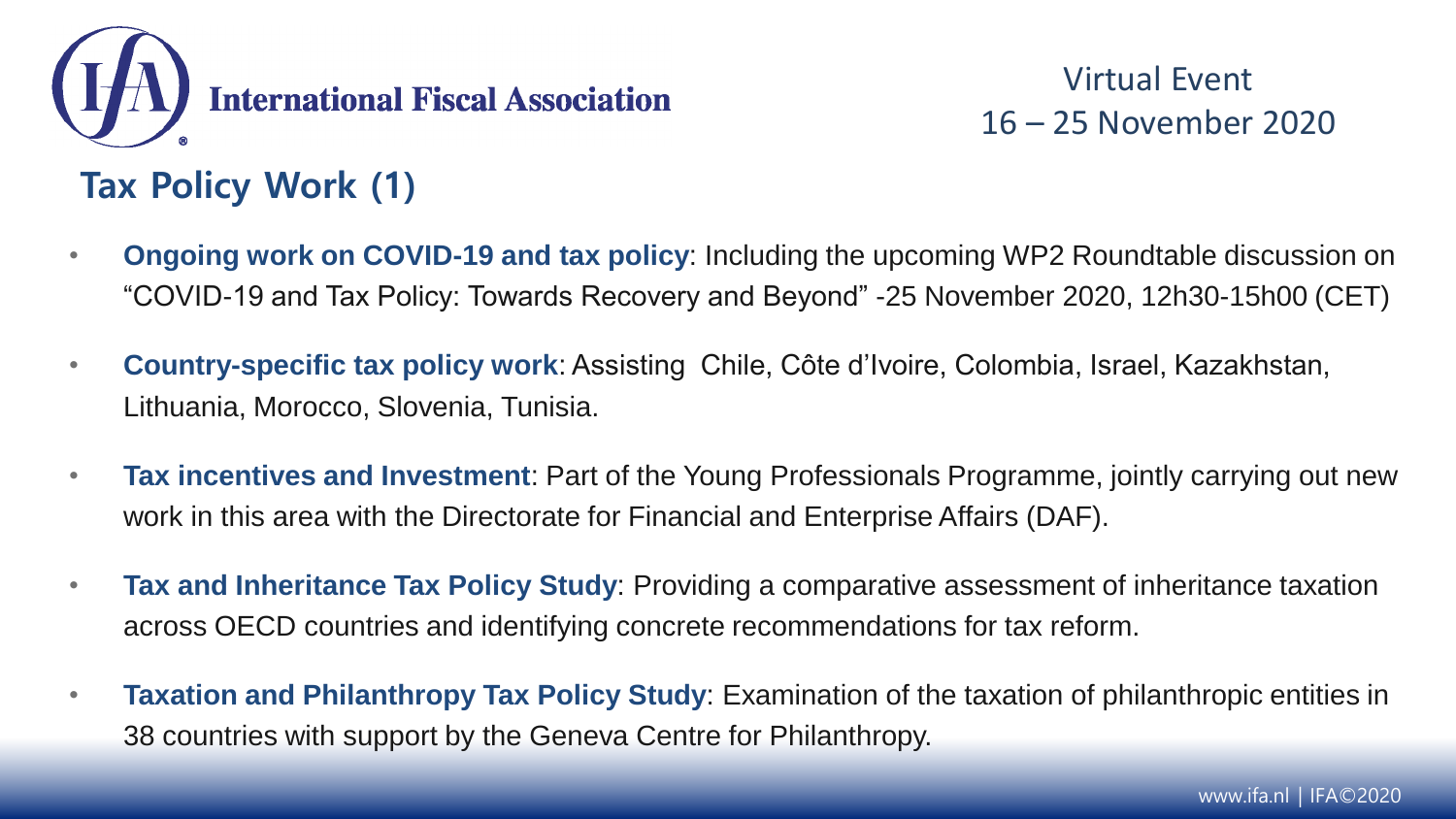

#### **Tax Policy Work (1)**

- **Ongoing work on COVID-19 and tax policy**: Including the upcoming WP2 Roundtable discussion on "COVID-19 and Tax Policy: Towards Recovery and Beyond" -25 November 2020, 12h30-15h00 (CET)
- **Country-specific tax policy work**: Assisting Chile, Côte d'Ivoire, Colombia, Israel, Kazakhstan, Lithuania, Morocco, Slovenia, Tunisia.
- **Tax incentives and Investment**: Part of the Young Professionals Programme, jointly carrying out new work in this area with the Directorate for Financial and Enterprise Affairs (DAF).
- **Tax and Inheritance Tax Policy Study**: Providing a comparative assessment of inheritance taxation across OECD countries and identifying concrete recommendations for tax reform.
- **Taxation and Philanthropy Tax Policy Study**: Examination of the taxation of philanthropic entities in 38 countries with support by the Geneva Centre for Philanthropy.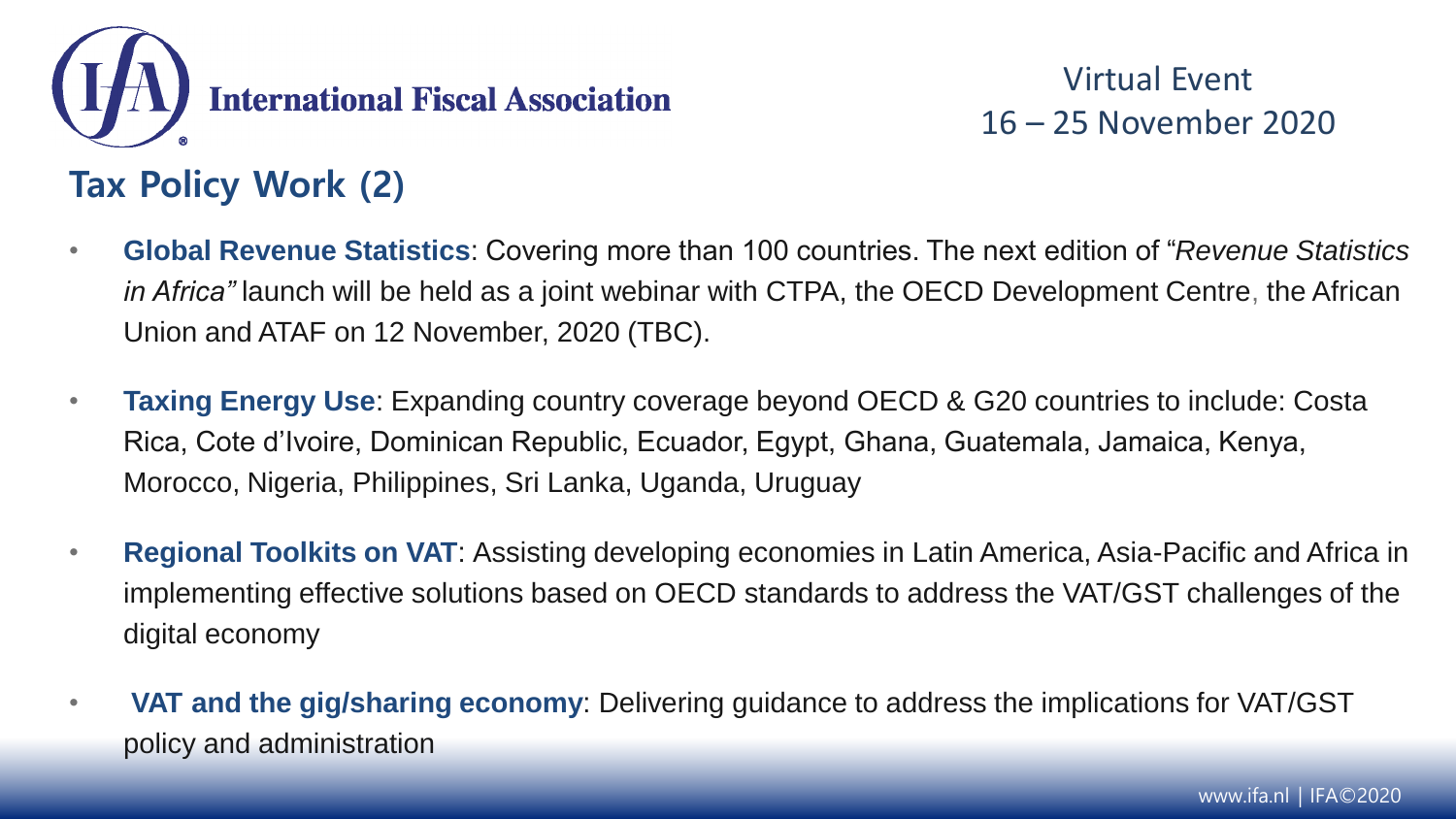

- **Global Revenue Statistics**: Covering more than 100 countries. The next edition of "*Revenue Statistics in Africa"* launch will be held as a joint webinar with CTPA, the OECD Development Centre, the African Union and ATAF on 12 November, 2020 (TBC).
- **Taxing Energy Use**: Expanding country coverage beyond OECD & G20 countries to include: Costa Rica, Cote d'Ivoire, Dominican Republic, Ecuador, Egypt, Ghana, Guatemala, Jamaica, Kenya, Morocco, Nigeria, Philippines, Sri Lanka, Uganda, Uruguay
- **Regional Toolkits on VAT**: Assisting developing economies in Latin America, Asia-Pacific and Africa in implementing effective solutions based on OECD standards to address the VAT/GST challenges of the digital economy
- **VAT and the gig/sharing economy**: Delivering guidance to address the implications for VAT/GST policy and administration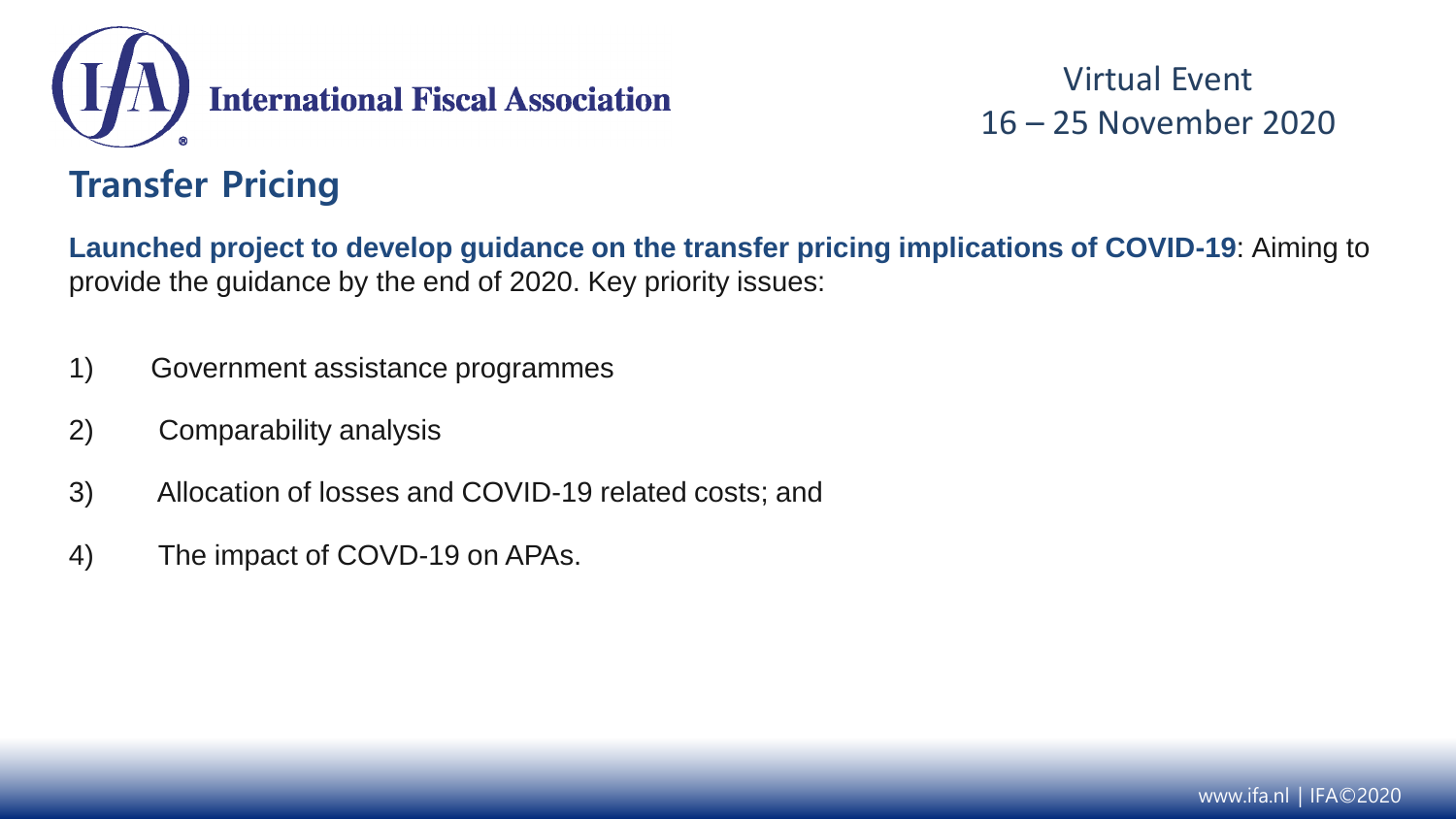

#### **Transfer Pricing**

**Launched project to develop guidance on the transfer pricing implications of COVID-19**: Aiming to provide the guidance by the end of 2020. Key priority issues:

- 1) Government assistance programmes
- 2) Comparability analysis
- 3) Allocation of losses and COVID-19 related costs; and
- 4) The impact of COVD-19 on APAs.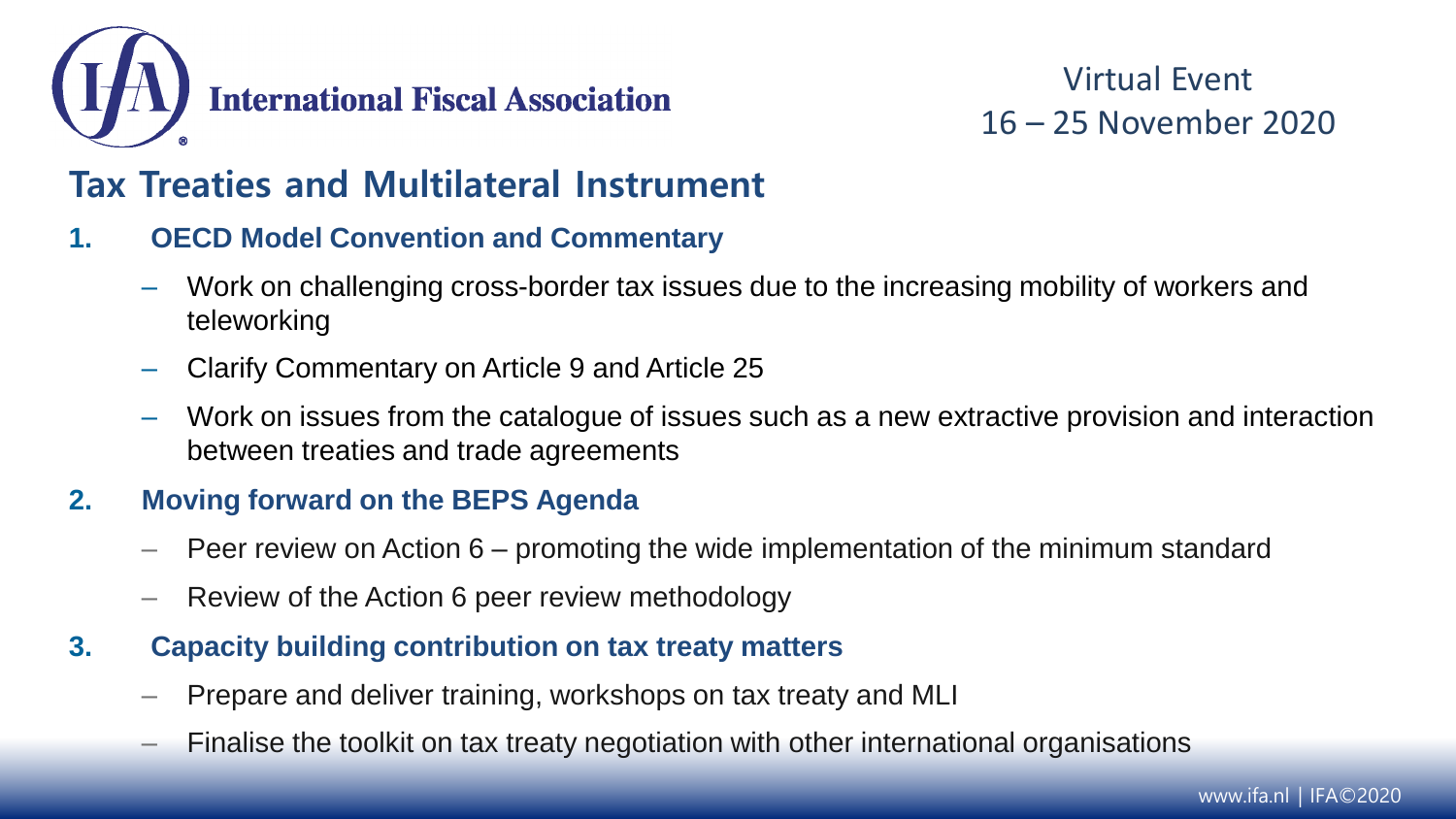

#### **Tax Treaties and Multilateral Instrument**

- **1. OECD Model Convention and Commentary**
	- Work on challenging cross-border tax issues due to the increasing mobility of workers and teleworking
	- Clarify Commentary on Article 9 and Article 25
	- Work on issues from the catalogue of issues such as a new extractive provision and interaction between treaties and trade agreements

#### **2. Moving forward on the BEPS Agenda**

- $-$  Peer review on Action 6 promoting the wide implementation of the minimum standard
- Review of the Action 6 peer review methodology
- **3. Capacity building contribution on tax treaty matters**
	- Prepare and deliver training, workshops on tax treaty and MLI
	- Finalise the toolkit on tax treaty negotiation with other international organisations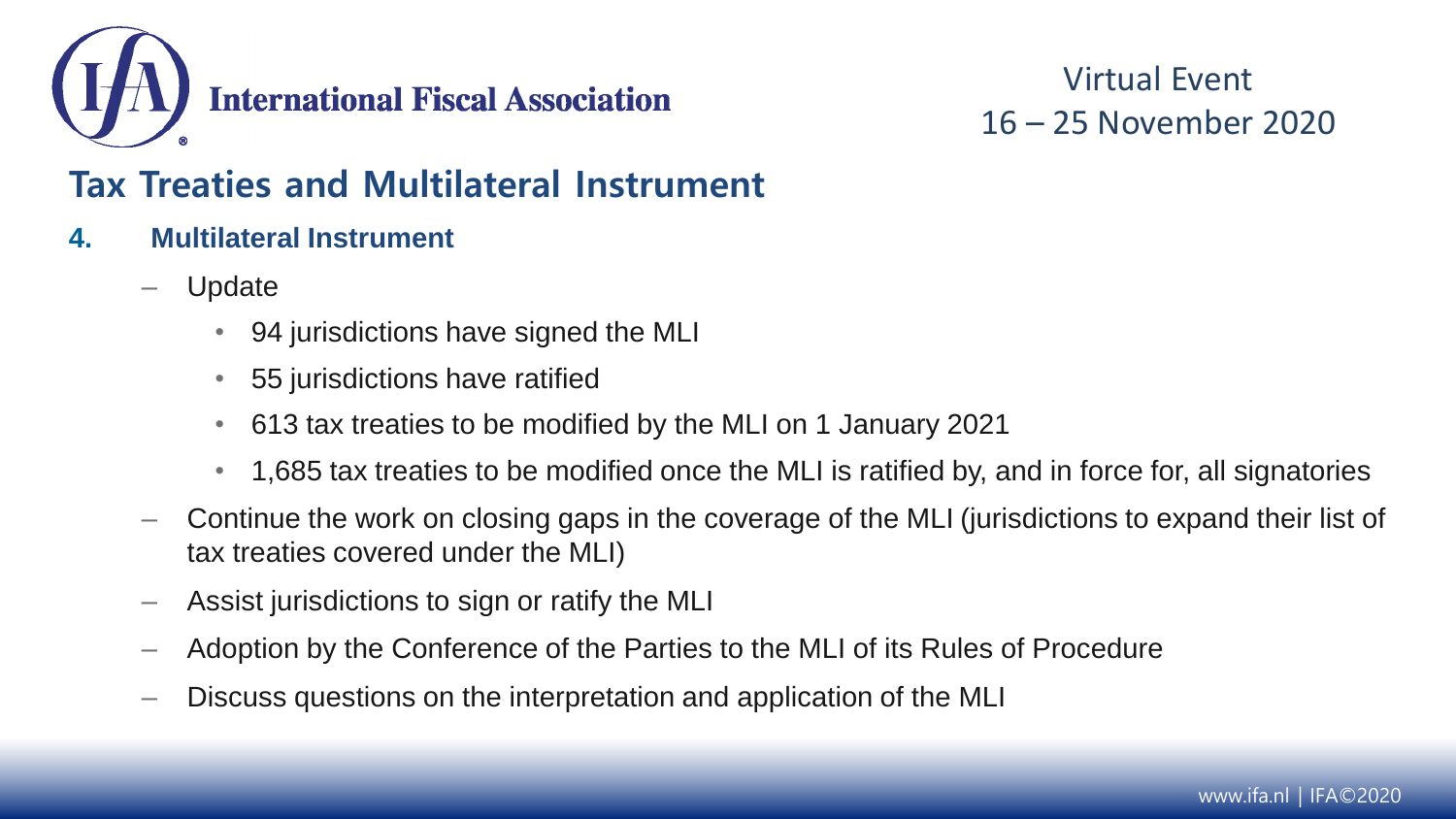

#### **Tax Treaties and Multilateral Instrument**

- **4. Multilateral Instrument**
	- Update
		- 94 jurisdictions have signed the MLI
		- 55 jurisdictions have ratified
		- 613 tax treaties to be modified by the MLI on 1 January 2021
		- 1,685 tax treaties to be modified once the MLI is ratified by, and in force for, all signatories
	- Continue the work on closing gaps in the coverage of the MLI (jurisdictions to expand their list of tax treaties covered under the MLI)
	- Assist jurisdictions to sign or ratify the MLI
	- Adoption by the Conference of the Parties to the MLI of its Rules of Procedure
	- Discuss questions on the interpretation and application of the MLI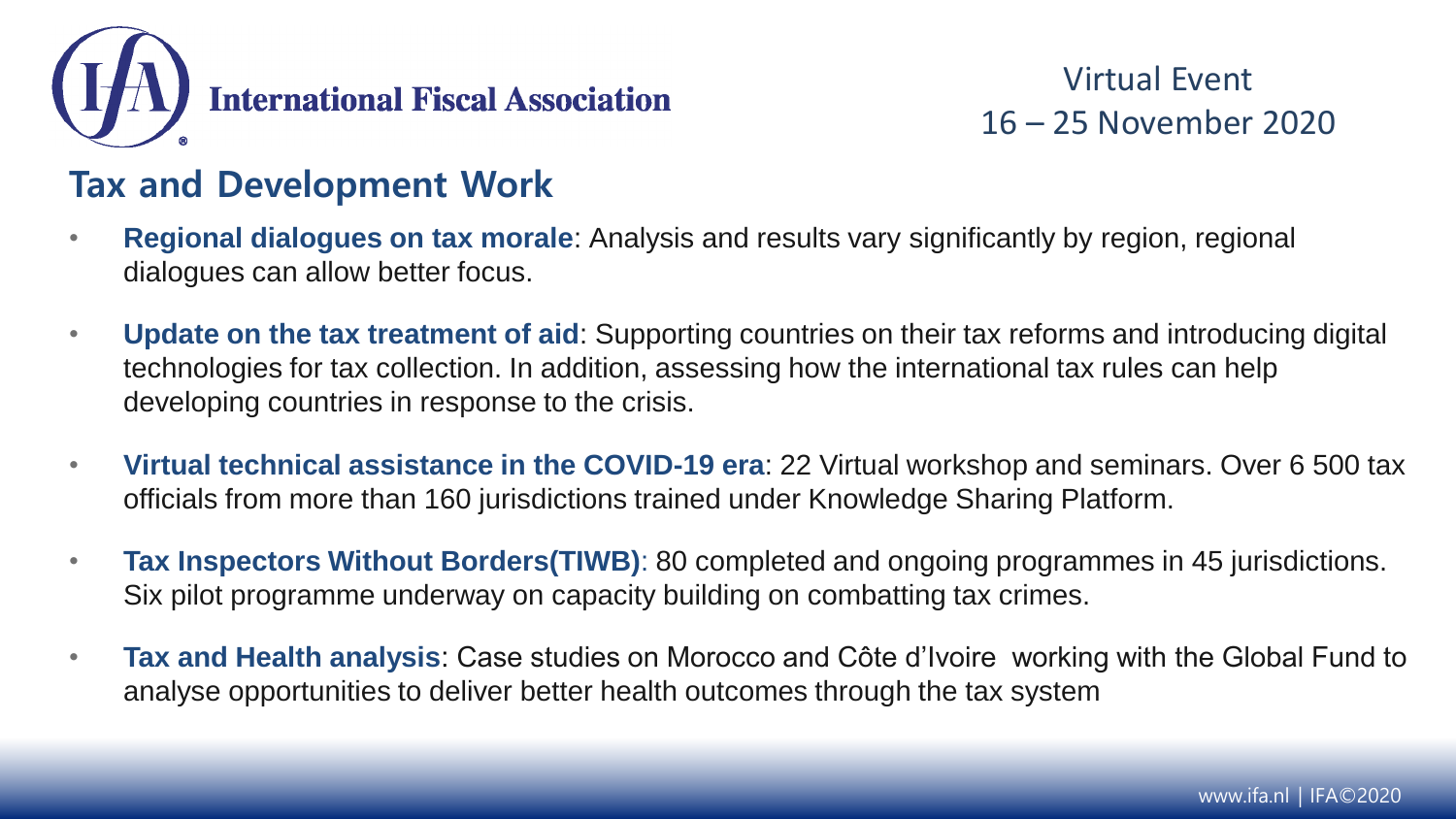

#### **Tax and Development Work**

- **Regional dialogues on tax morale**: Analysis and results vary significantly by region, regional dialogues can allow better focus.
- **Update on the tax treatment of aid**: Supporting countries on their tax reforms and introducing digital technologies for tax collection. In addition, assessing how the international tax rules can help developing countries in response to the crisis.
- **Virtual technical assistance in the COVID-19 era**: 22 Virtual workshop and seminars. Over 6 500 tax officials from more than 160 jurisdictions trained under Knowledge Sharing Platform.
- **Tax Inspectors Without Borders(TIWB)**: 80 completed and ongoing programmes in 45 jurisdictions. Six pilot programme underway on capacity building on combatting tax crimes.
- **Tax and Health analysis**: Case studies on Morocco and Côte d'Ivoire working with the Global Fund to analyse opportunities to deliver better health outcomes through the tax system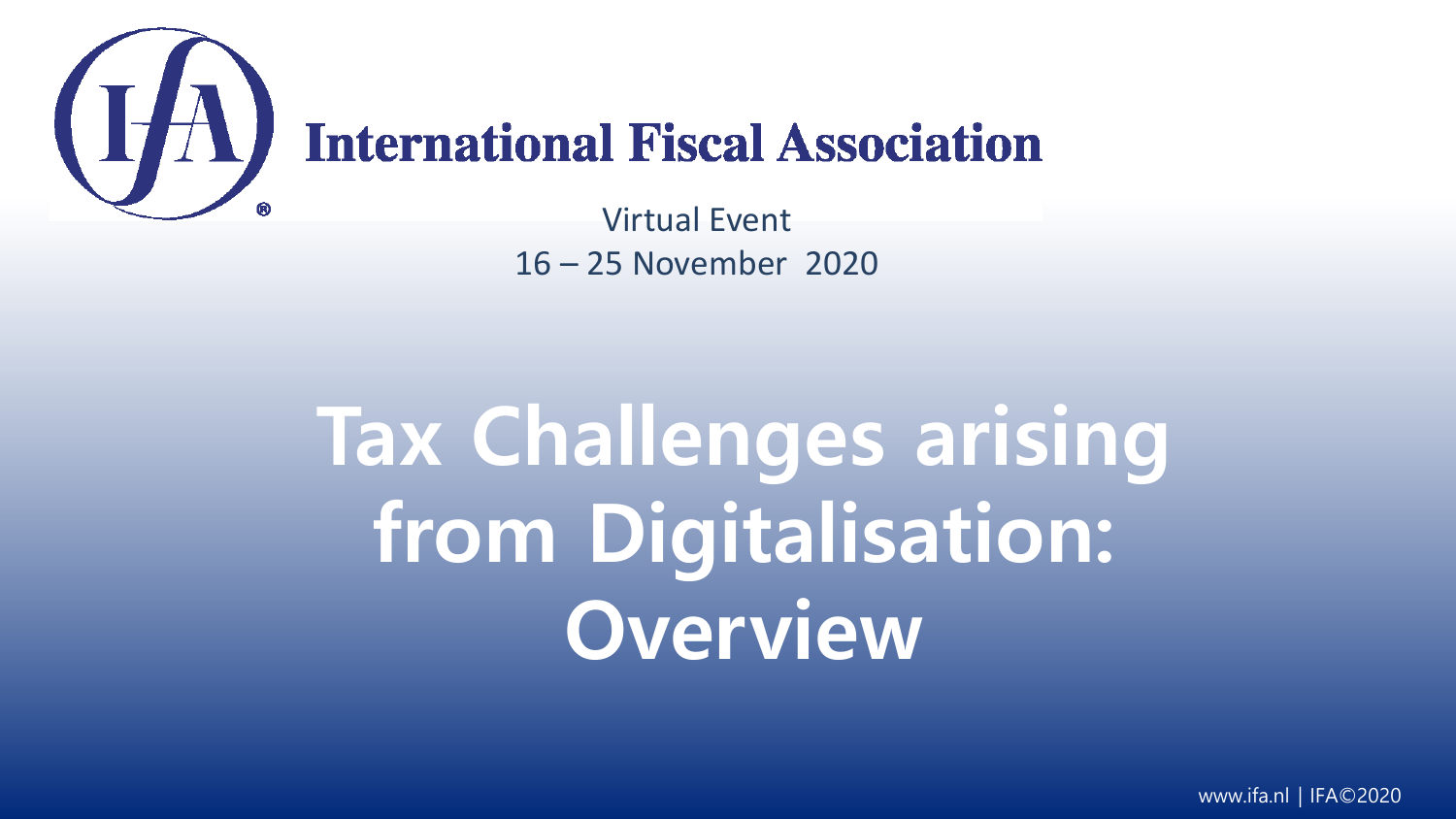

# **International Fiscal Association**

Virtual Event 16 – 25 November 2020

# **Tax Challenges arising from Digitalisation: Overview**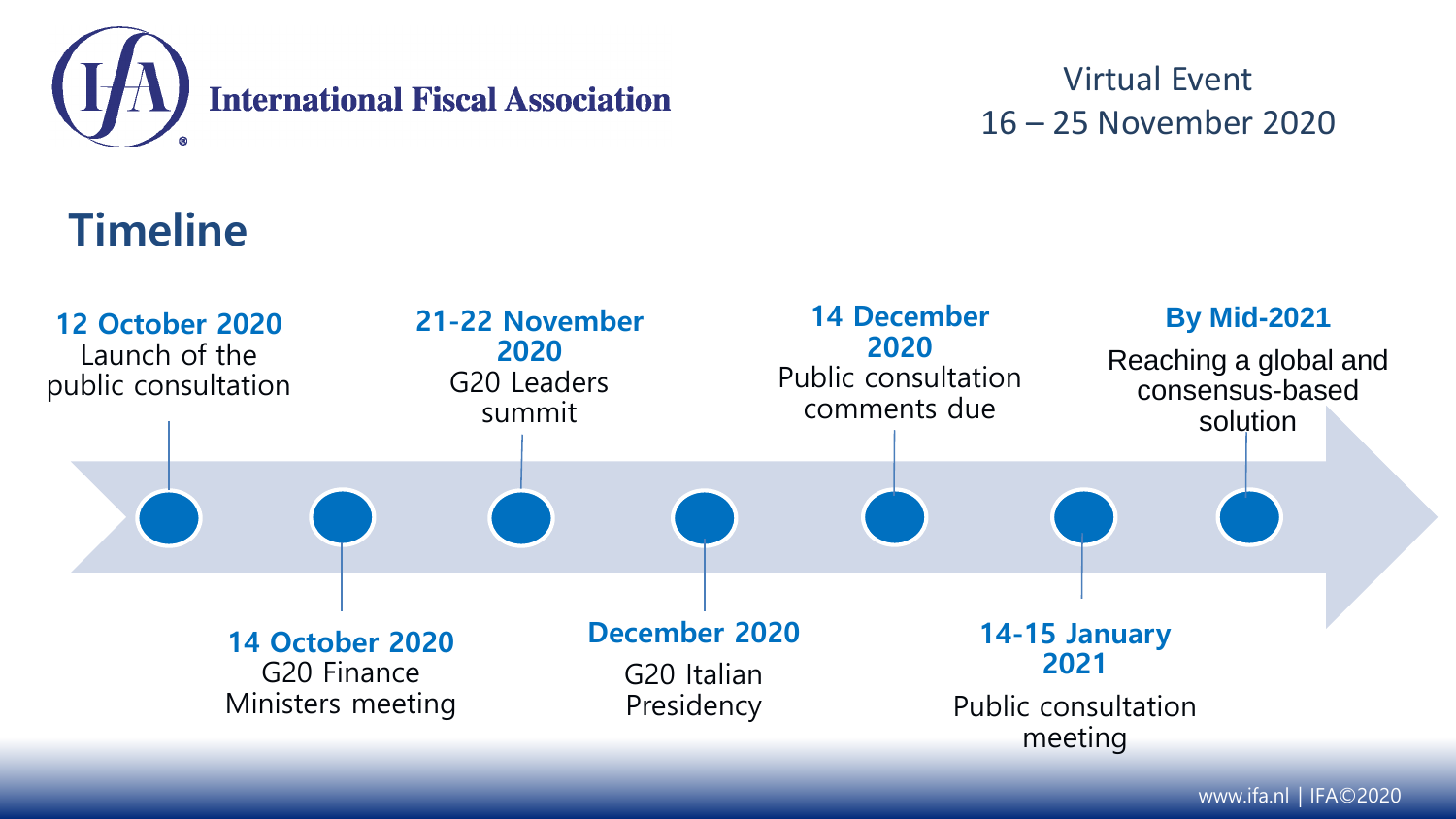

# **Timeline**

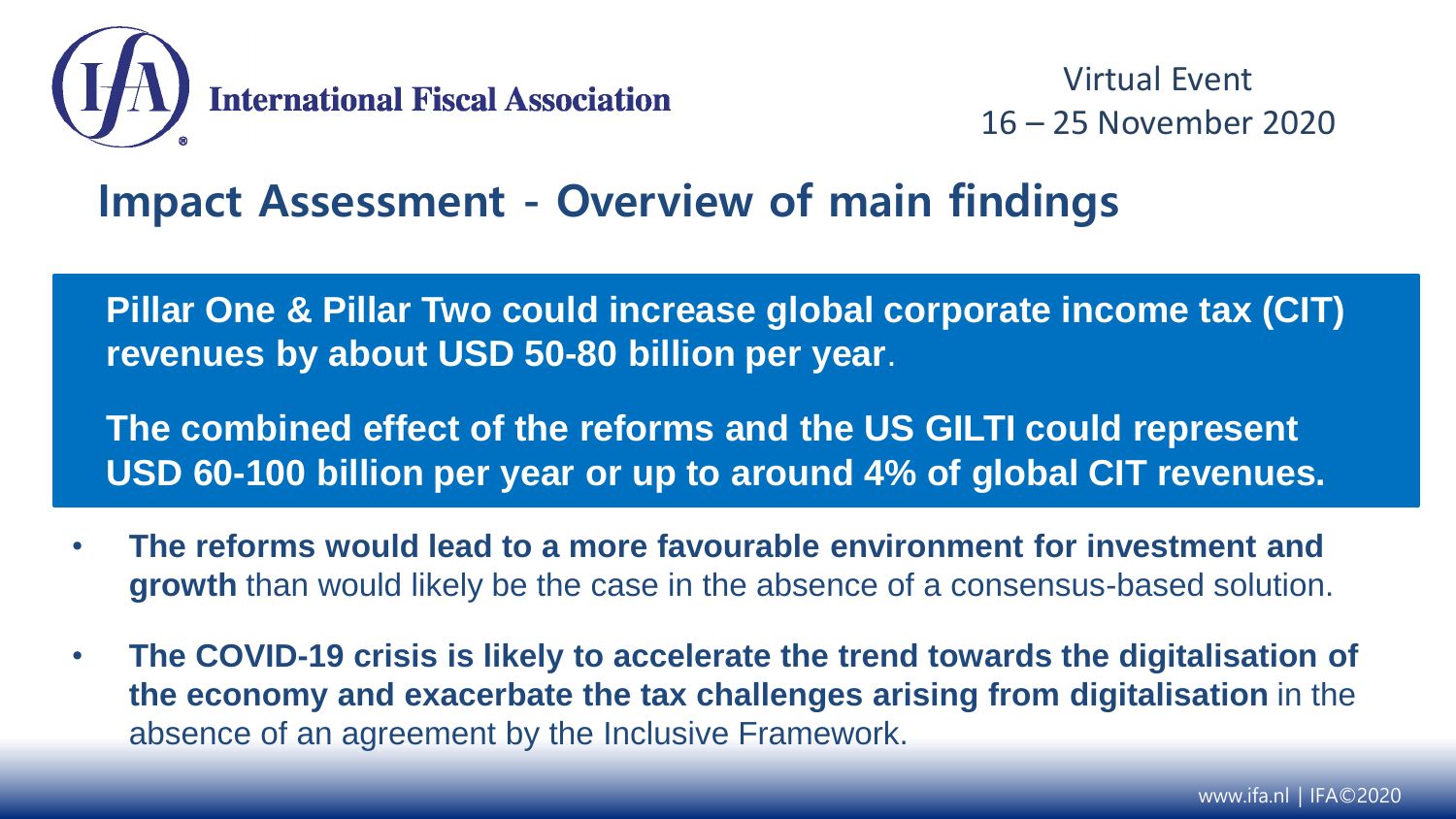

### **Impact Assessment - Overview of main findings**

**Pillar One & Pillar Two could increase global corporate income tax (CIT) revenues by about USD 50-80 billion per year**.

**The combined effect of the reforms and the US GILTI could represent USD 60-100 billion per year or up to around 4% of global CIT revenues.**

- **The reforms would lead to a more favourable environment for investment and growth** than would likely be the case in the absence of a consensus-based solution.
- **The COVID-19 crisis is likely to accelerate the trend towards the digitalisation of the economy and exacerbate the tax challenges arising from digitalisation** in the absence of an agreement by the Inclusive Framework.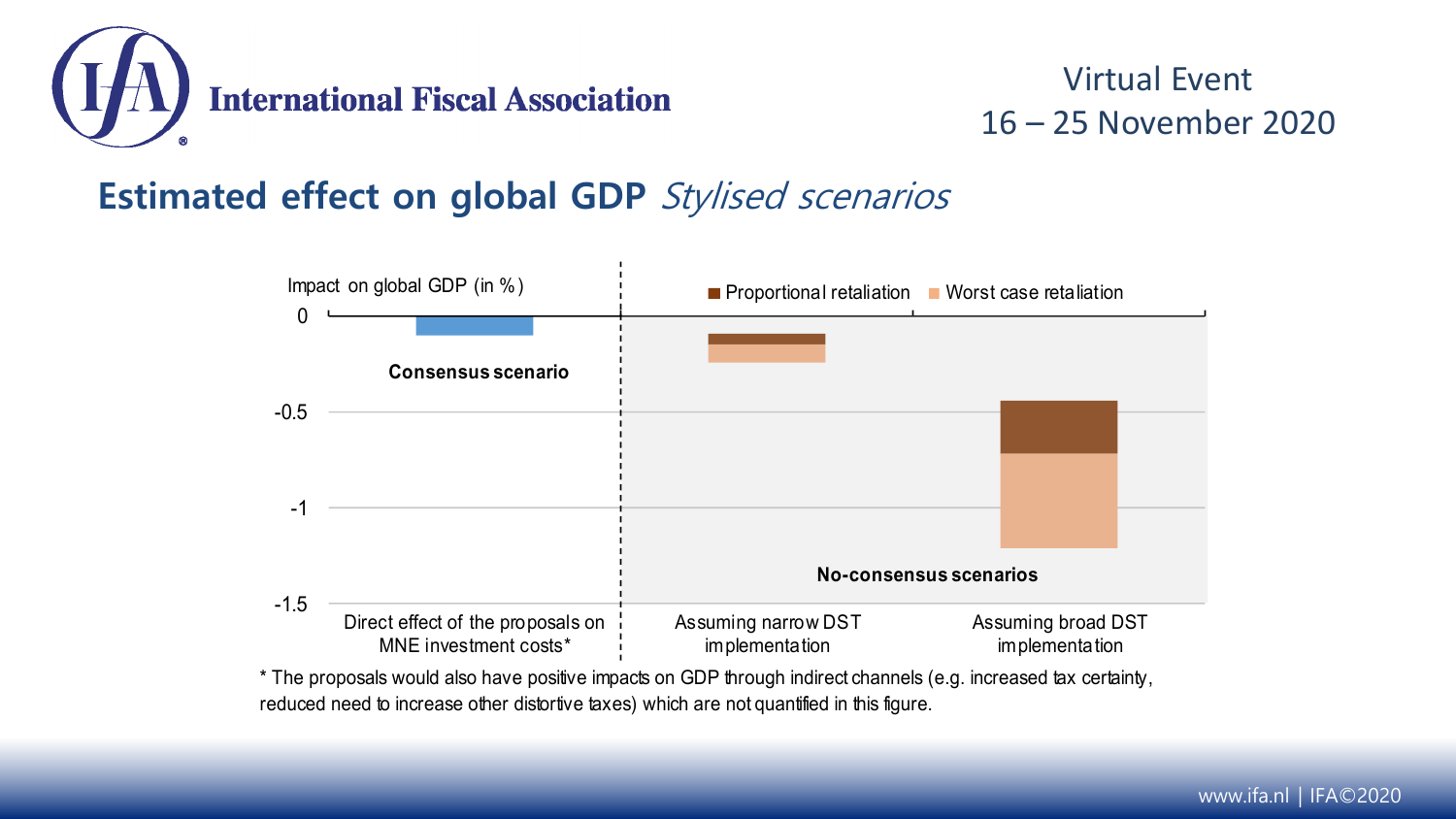

#### **Estimated effect on global GDP** Stylised scenarios



\* The proposals would also have positive impacts on GDP through indirect channels (e.g. increased tax certainty, reduced need to increase other distortive taxes) which are not quantified in this figure.

#### www.ifa.nl | IFA©2020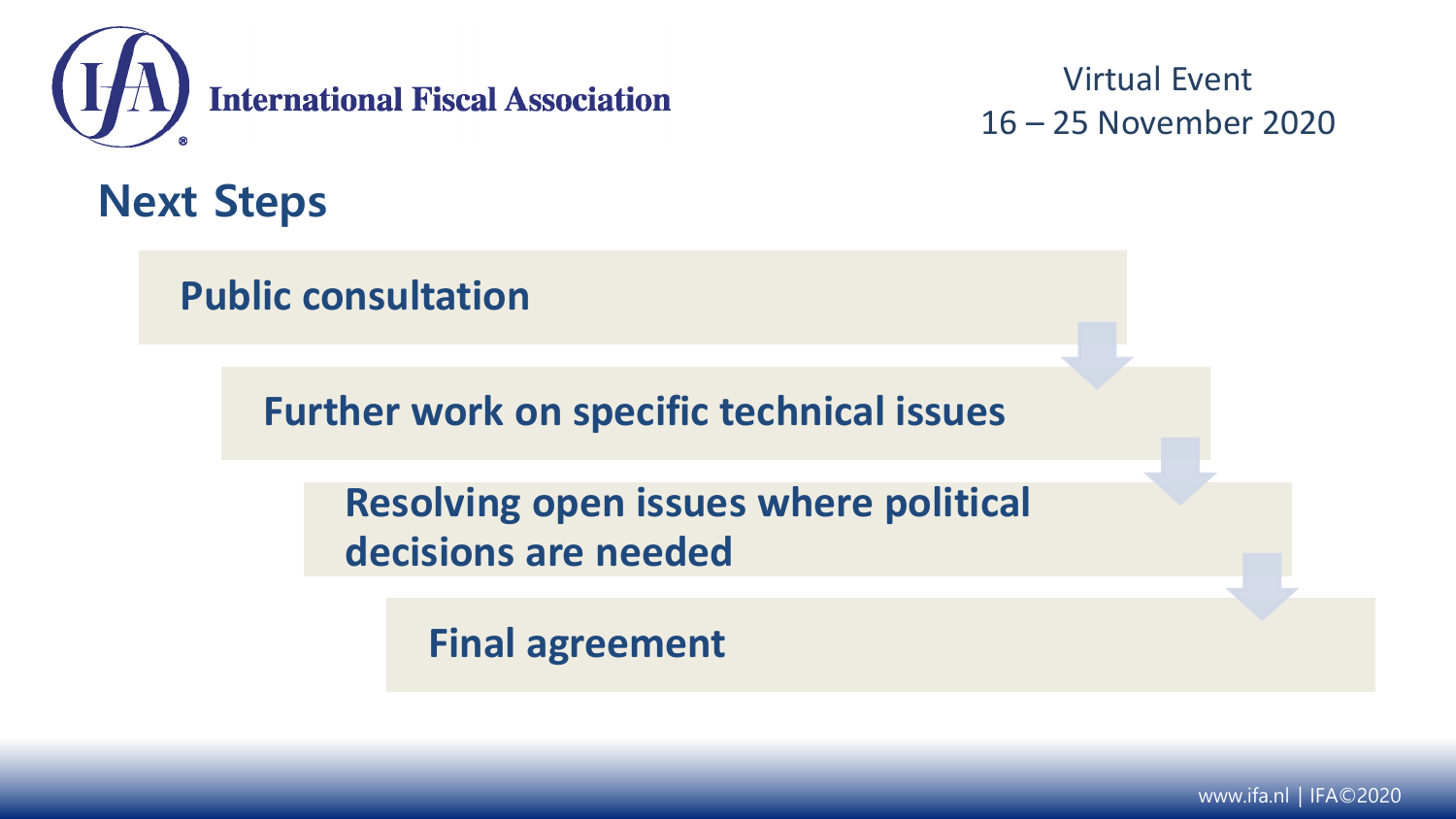

**Next Steps**

**Public consultation**

**Further work on specific technical issues**

**Resolving open issues where political decisions are needed**

**Final agreement**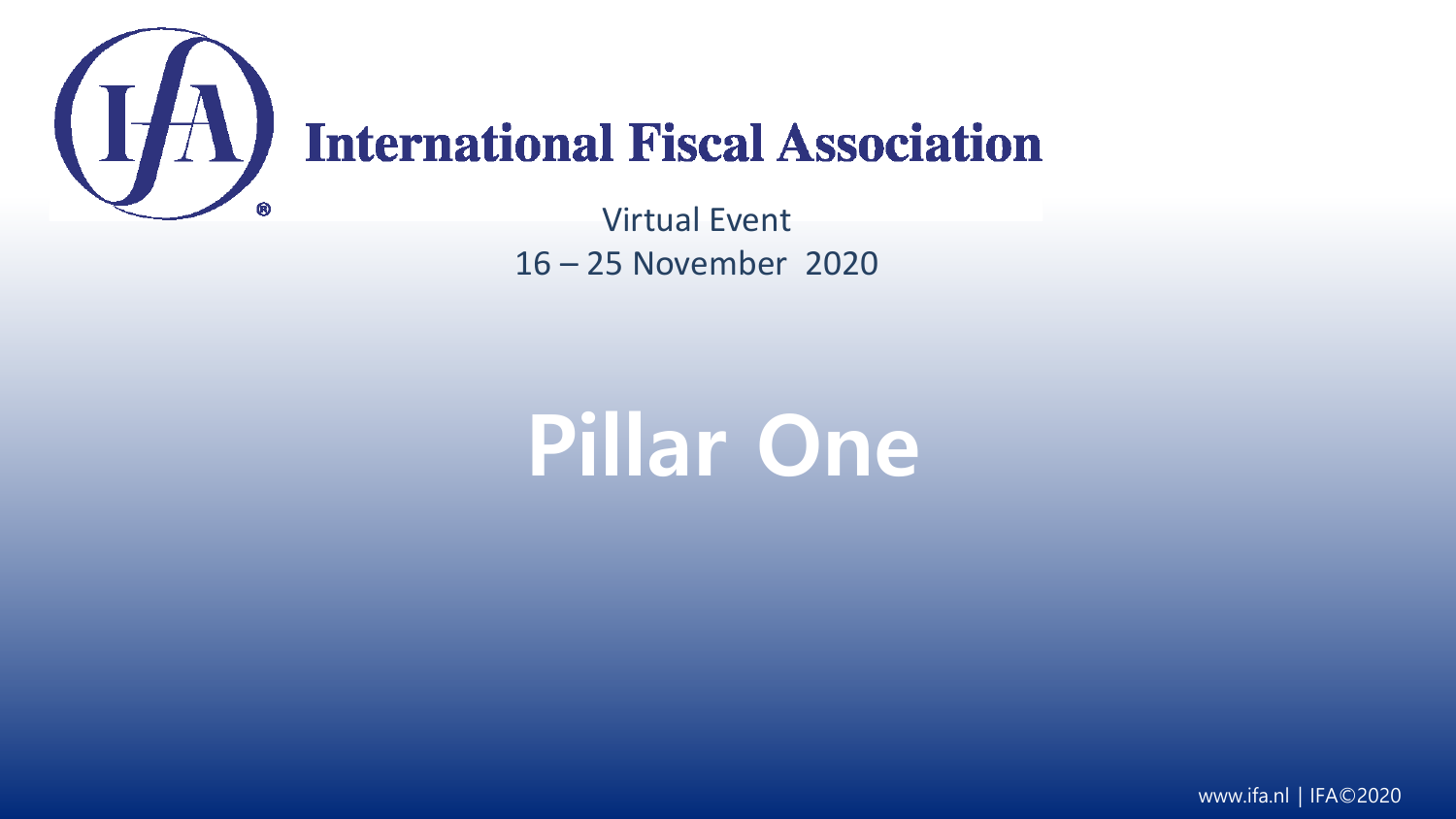

# (IA) International Fiscal Association

Virtual Event 16 – 25 November 2020

# **Pillar One**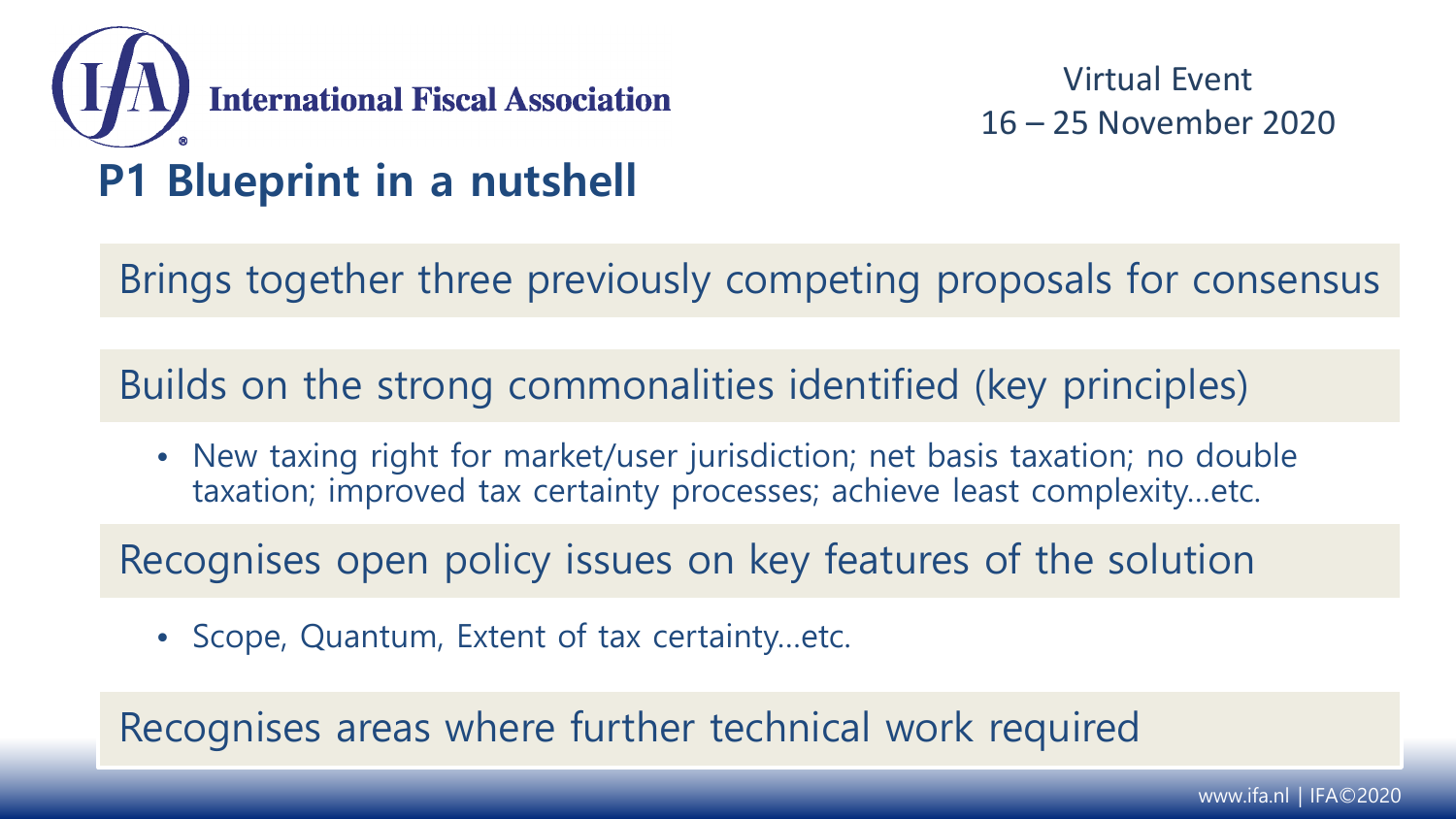

Brings together three previously competing proposals for consensus

Builds on the strong commonalities identified (key principles)

• New taxing right for market/user jurisdiction; net basis taxation; no double taxation; improved tax certainty processes; achieve least complexity…etc.

Recognises open policy issues on key features of the solution

• Scope, Quantum, Extent of tax certainty…etc.

Recognises areas where further technical work required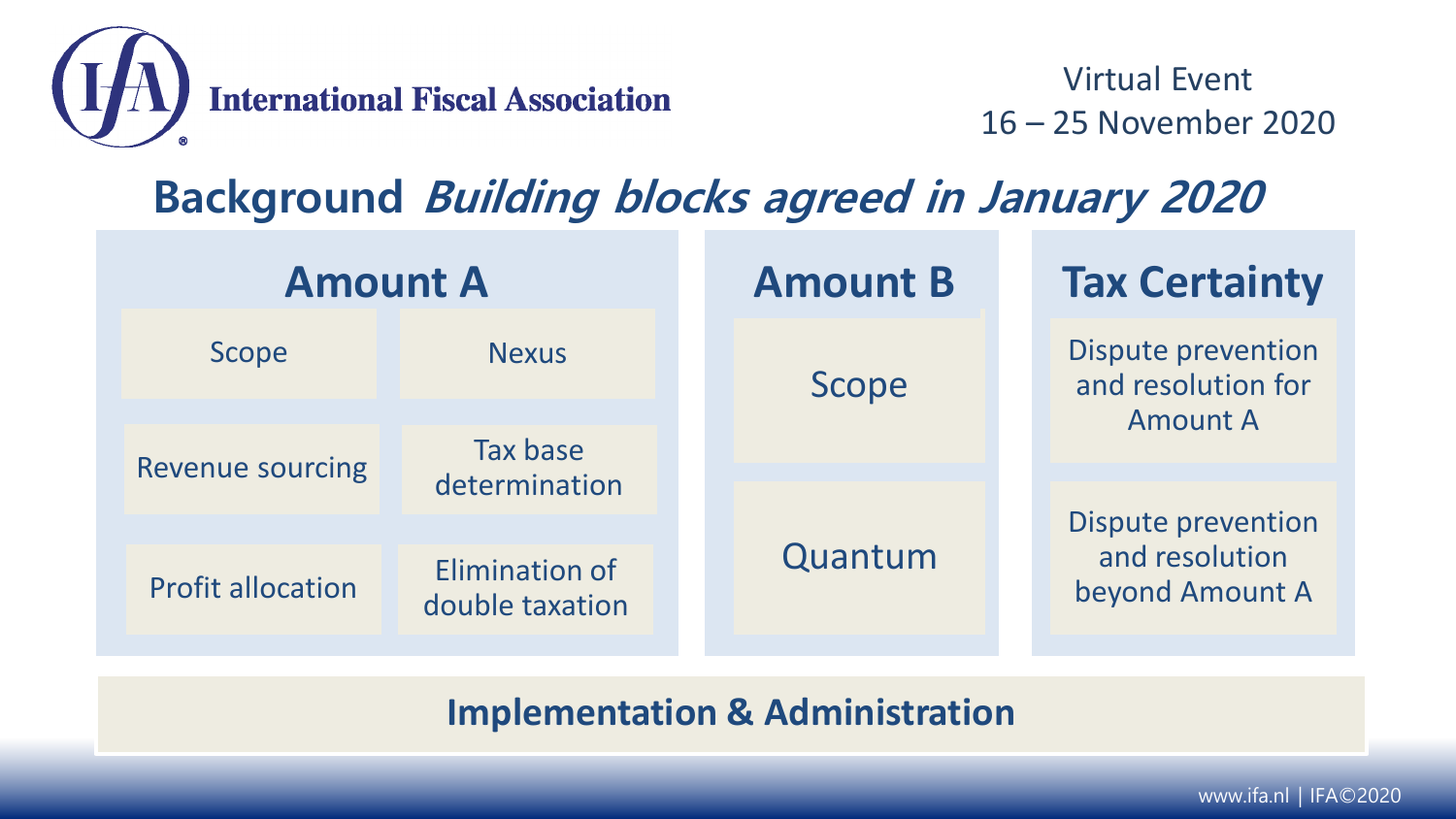

## **Background Building blocks agreed in January 2020**

| <b>Amount A</b>          |                                          |  | <b>Amount B</b> |  | <b>Tax Certainty</b>              |  |                                                 |
|--------------------------|------------------------------------------|--|-----------------|--|-----------------------------------|--|-------------------------------------------------|
| Scope                    | <b>Nexus</b>                             |  | Scope           |  |                                   |  | <b>Dispute prevention</b><br>and resolution for |
|                          | Tax base<br>determination                |  |                 |  | <b>Amount A</b>                   |  |                                                 |
| <b>Revenue sourcing</b>  |                                          |  |                 |  |                                   |  |                                                 |
|                          |                                          |  |                 |  | <b>Dispute prevention</b>         |  |                                                 |
| <b>Profit allocation</b> | <b>Elimination of</b><br>double taxation |  | Quantum         |  | and resolution<br>beyond Amount A |  |                                                 |

**Implementation & Administration**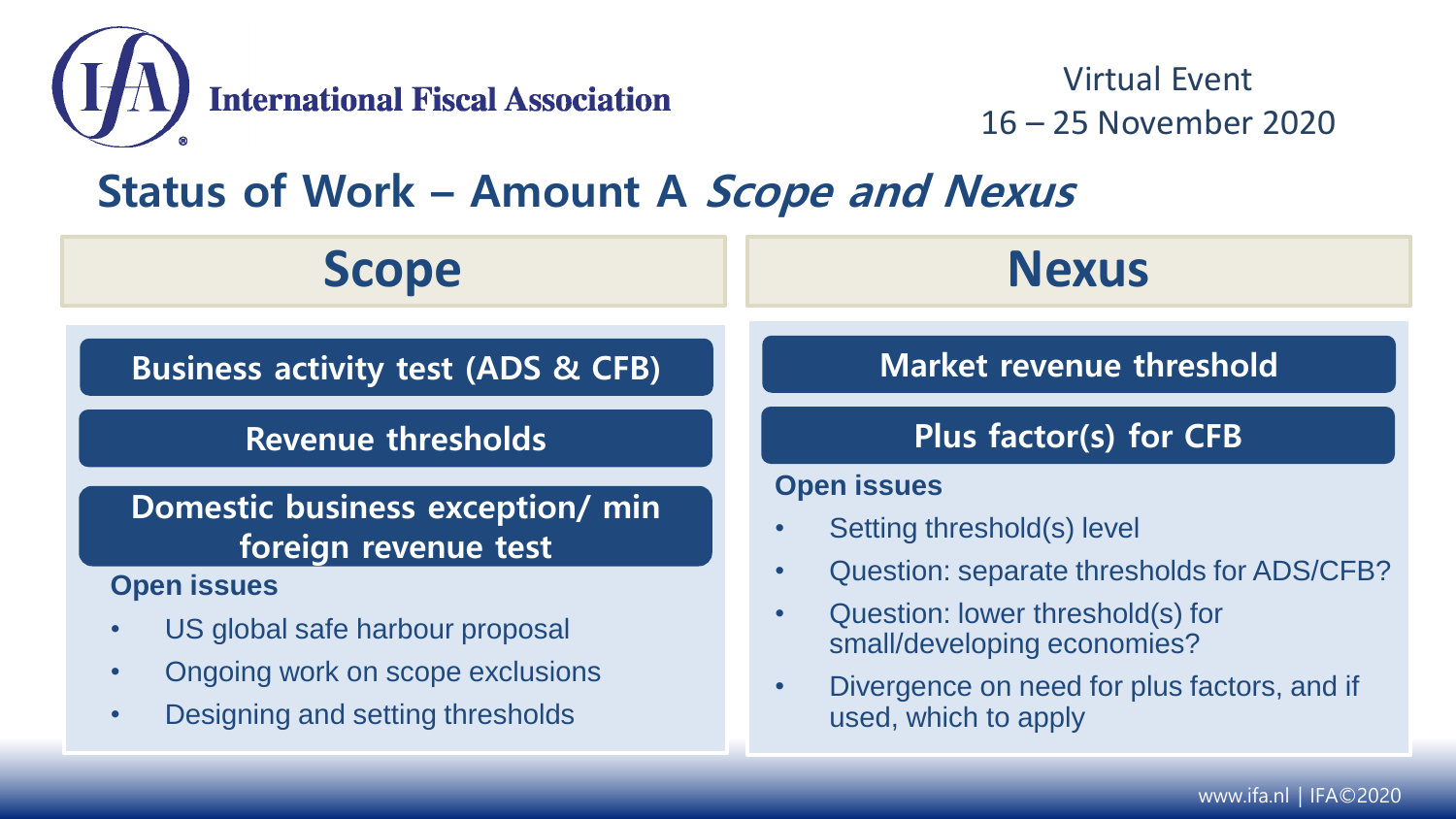

### **Status of Work – Amount A Scope and Nexus**

| <b>Scope</b>                                                                                                                                            | <b>Nexus</b>                                                                                                                                                                                                                             |  |  |  |
|---------------------------------------------------------------------------------------------------------------------------------------------------------|------------------------------------------------------------------------------------------------------------------------------------------------------------------------------------------------------------------------------------------|--|--|--|
| <b>Business activity test (ADS &amp; CFB)</b>                                                                                                           | <b>Market revenue threshold</b><br>Plus factor(s) for CFB                                                                                                                                                                                |  |  |  |
| <b>Revenue thresholds</b>                                                                                                                               |                                                                                                                                                                                                                                          |  |  |  |
| Domestic business exception/ min<br>foreign revenue test                                                                                                | <b>Open issues</b><br>Setting threshold(s) level<br>Question: separate thresholds for ADS/CFB?<br>Question: lower threshold(s) for<br>small/developing economies?<br>Divergence on need for plus factors, and if<br>used, which to apply |  |  |  |
| <b>Open issues</b><br>US global safe harbour proposal<br>$\bullet$<br>Ongoing work on scope exclusions<br>Designing and setting thresholds<br>$\bullet$ |                                                                                                                                                                                                                                          |  |  |  |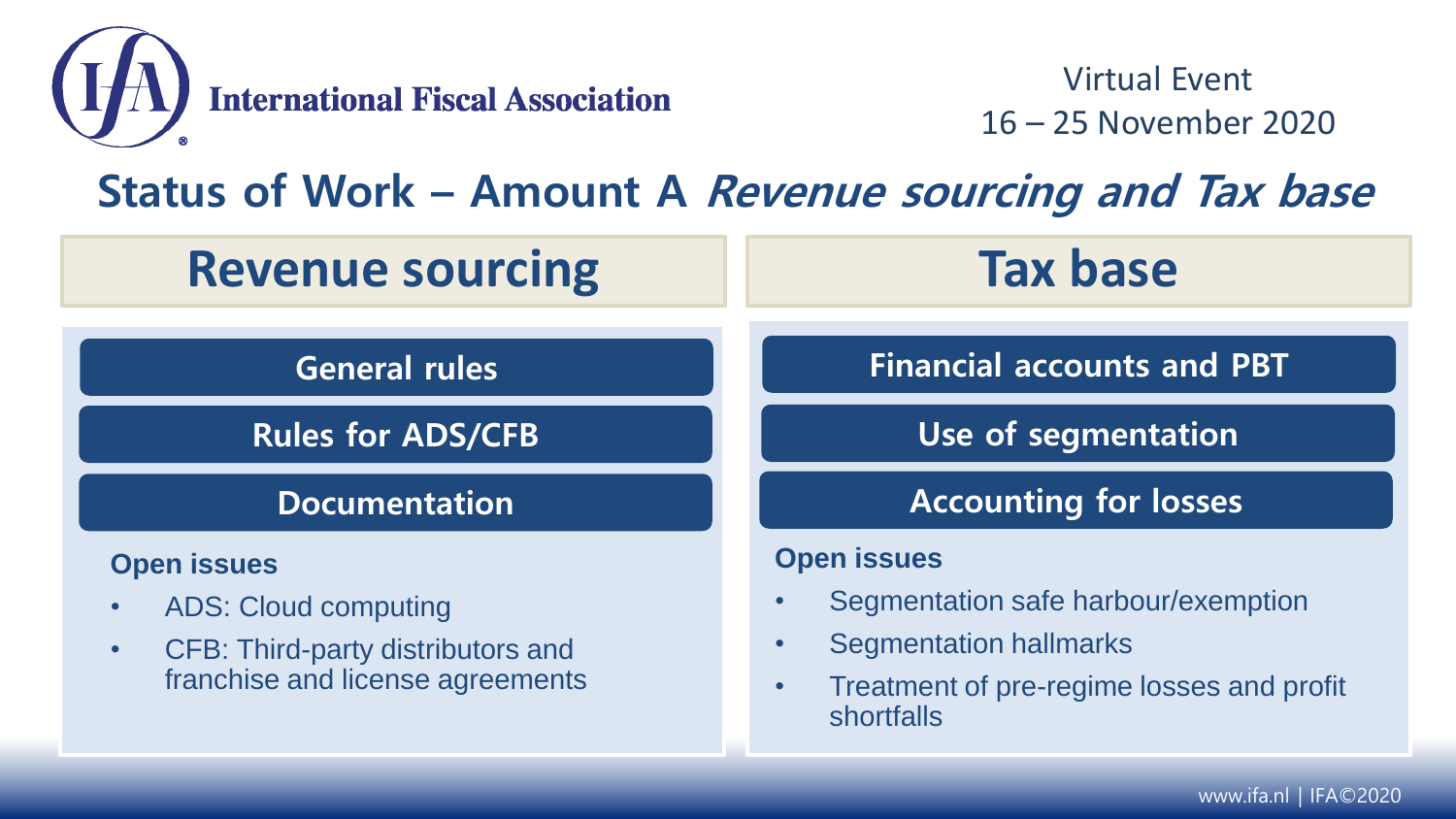

#### **Status of Work – Amount A Revenue sourcing and Tax base**

| <b>Revenue sourcing</b>                                                                                                                              | <b>Tax base</b>                                                                                                                                       |  |  |
|------------------------------------------------------------------------------------------------------------------------------------------------------|-------------------------------------------------------------------------------------------------------------------------------------------------------|--|--|
| <b>General rules</b>                                                                                                                                 | <b>Financial accounts and PBT</b>                                                                                                                     |  |  |
| <b>Rules for ADS/CFB</b>                                                                                                                             | Use of segmentation                                                                                                                                   |  |  |
| <b>Documentation</b>                                                                                                                                 | <b>Accounting for losses</b>                                                                                                                          |  |  |
| <b>Open issues</b><br><b>ADS: Cloud computing</b><br>$\bullet$<br>CFB: Third-party distributors and<br>$\bullet$<br>franchise and license agreements | <b>Open issues</b><br>Segmentation safe harbour/exemption<br><b>Segmentation hallmarks</b><br>Treatment of pre-regime losses and profit<br>shortfalls |  |  |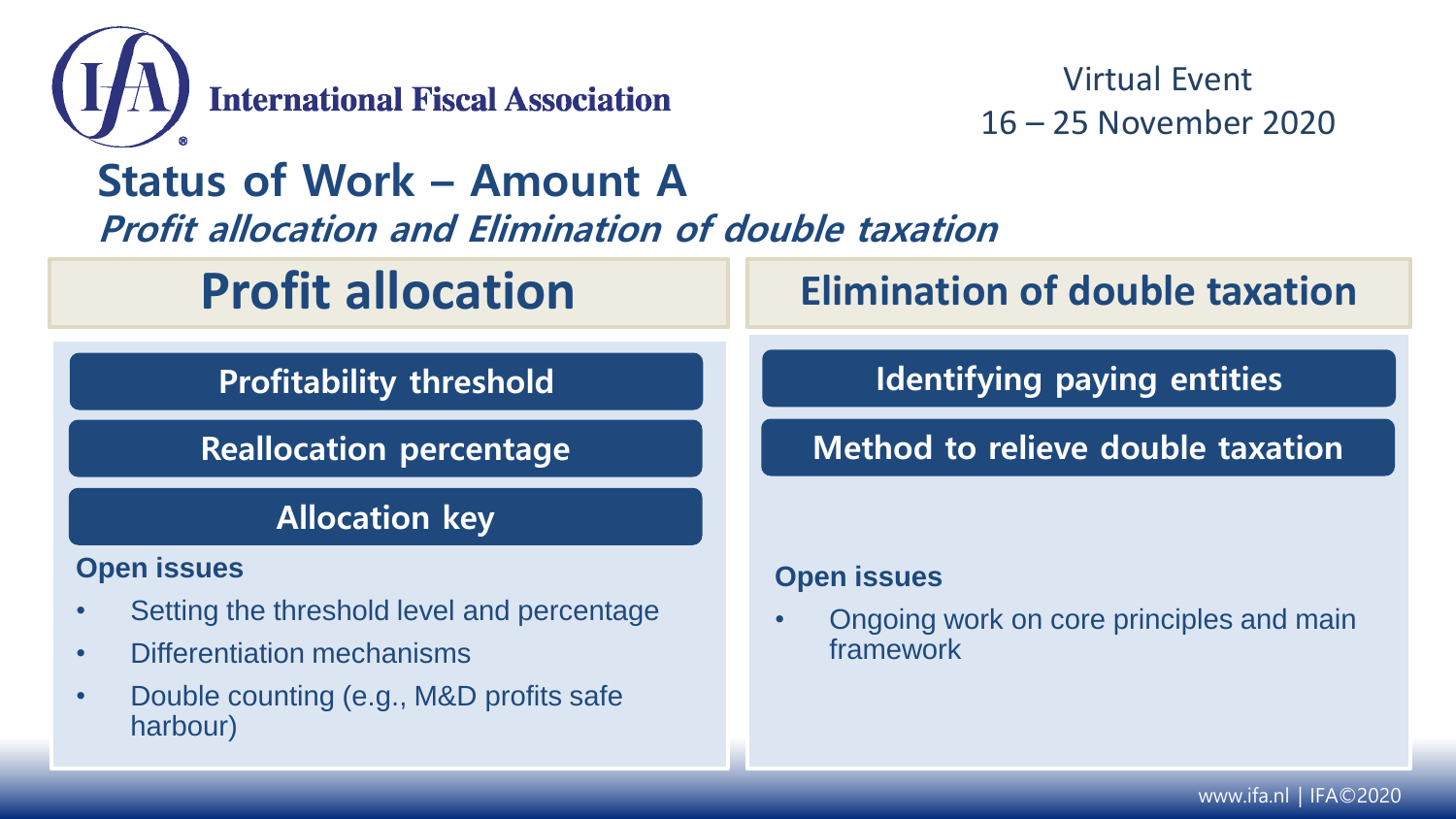

#### **Status of Work – Amount A Profit allocation and Elimination of double taxation**

# **Profit allocation**

**Profitability threshold**

**Reallocation percentage**

#### **Allocation key**

#### **Open issues**

- Setting the threshold level and percentage
- Differentiation mechanisms
- Double counting (e.g., M&D profits safe harbour)

## **Elimination of double taxation**

**Identifying paying entities**

**Method to relieve double taxation**

#### **Open issues**

• Ongoing work on core principles and main framework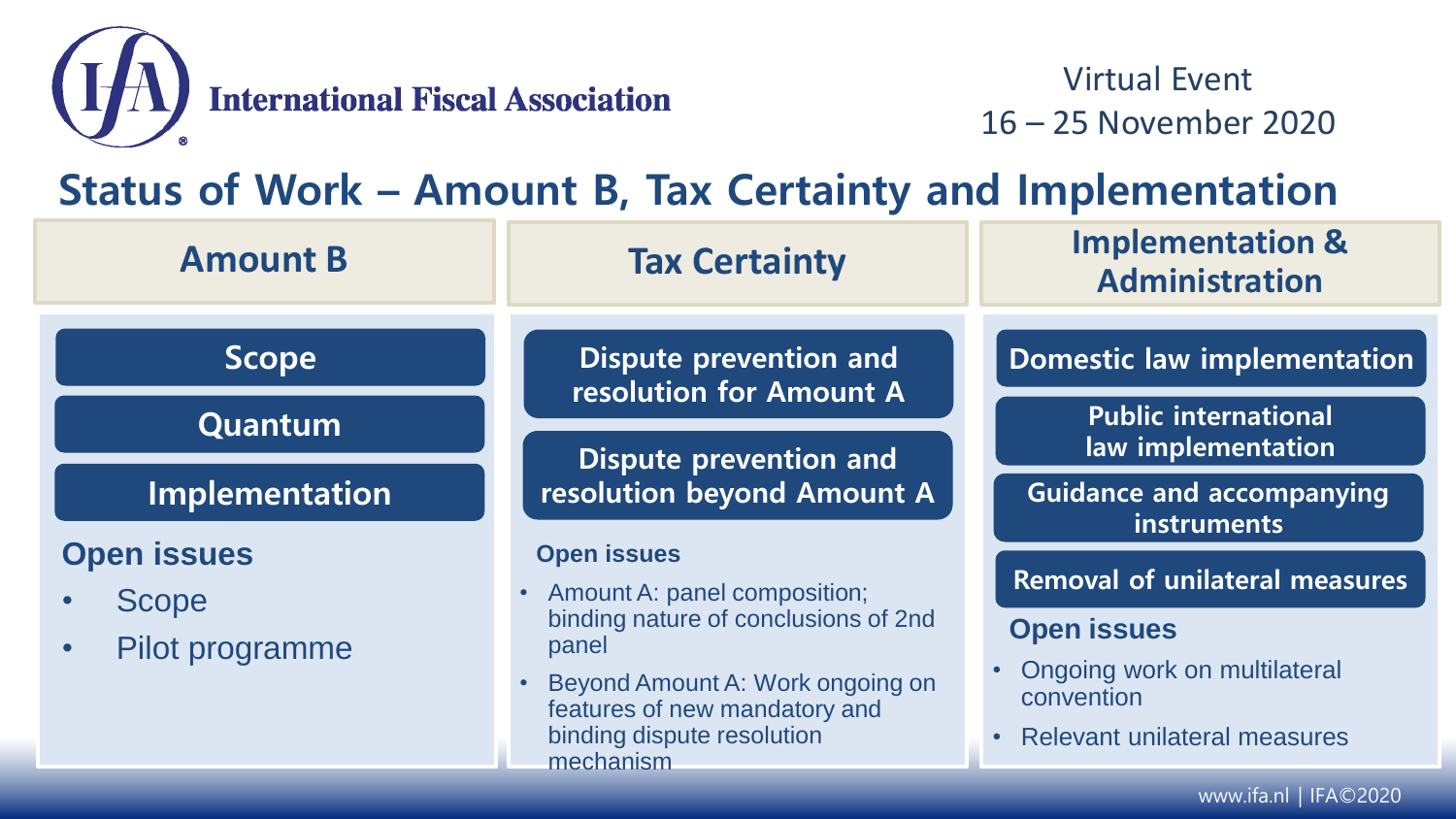

#### **Status of Work – Amount B, Tax Certainty and Implementation**

| <b>Amount B</b>                                       | <b>Tax Certainty</b>                                                                                                                                                                                                  | <b>Implementation &amp;</b><br><b>Administration</b>                                                                                                                       |  |
|-------------------------------------------------------|-----------------------------------------------------------------------------------------------------------------------------------------------------------------------------------------------------------------------|----------------------------------------------------------------------------------------------------------------------------------------------------------------------------|--|
| <b>Scope</b><br>Quantum                               | Dispute prevention and<br>resolution for Amount A                                                                                                                                                                     | <b>Domestic law implementation</b><br><b>Public international</b>                                                                                                          |  |
| Implementation                                        | <b>Dispute prevention and</b><br>resolution beyond Amount A                                                                                                                                                           | law implementation<br><b>Guidance and accompanying</b><br>instruments                                                                                                      |  |
| <b>Open issues</b><br><b>Scope</b><br>Pilot programme | <b>Open issues</b><br>• Amount A: panel composition;<br>binding nature of conclusions of 2nd<br>panel<br>Beyond Amount A: Work ongoing on<br>features of new mandatory and<br>binding dispute resolution<br>mechanism | <b>Removal of unilateral measures</b><br><b>Open issues</b><br>Ongoing work on multilateral<br>$\bullet$<br>convention<br><b>Relevant unilateral measures</b><br>$\bullet$ |  |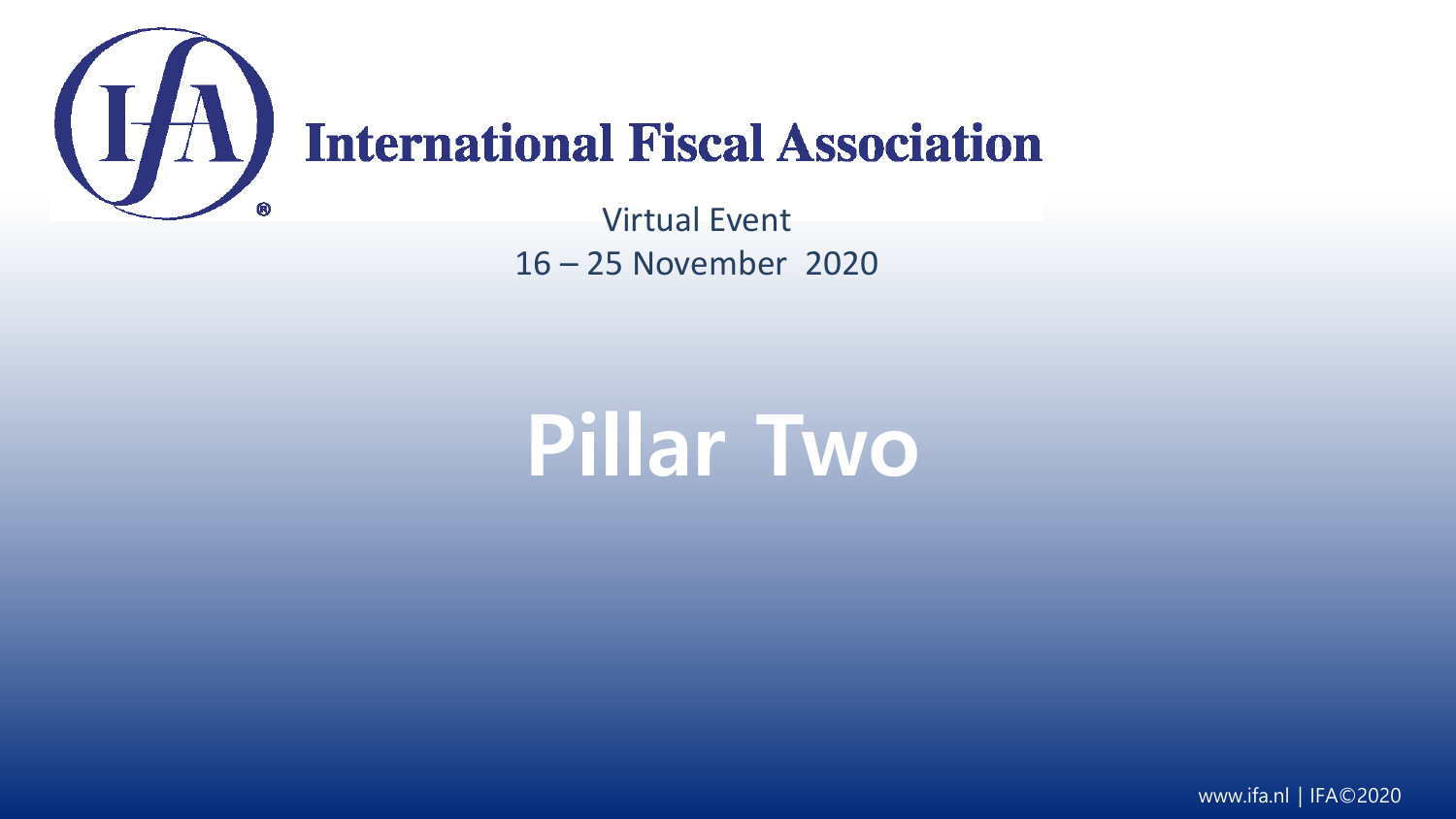

# (IA) International Fiscal Association

Virtual Event 16 – 25 November 2020

# **Pillar Two**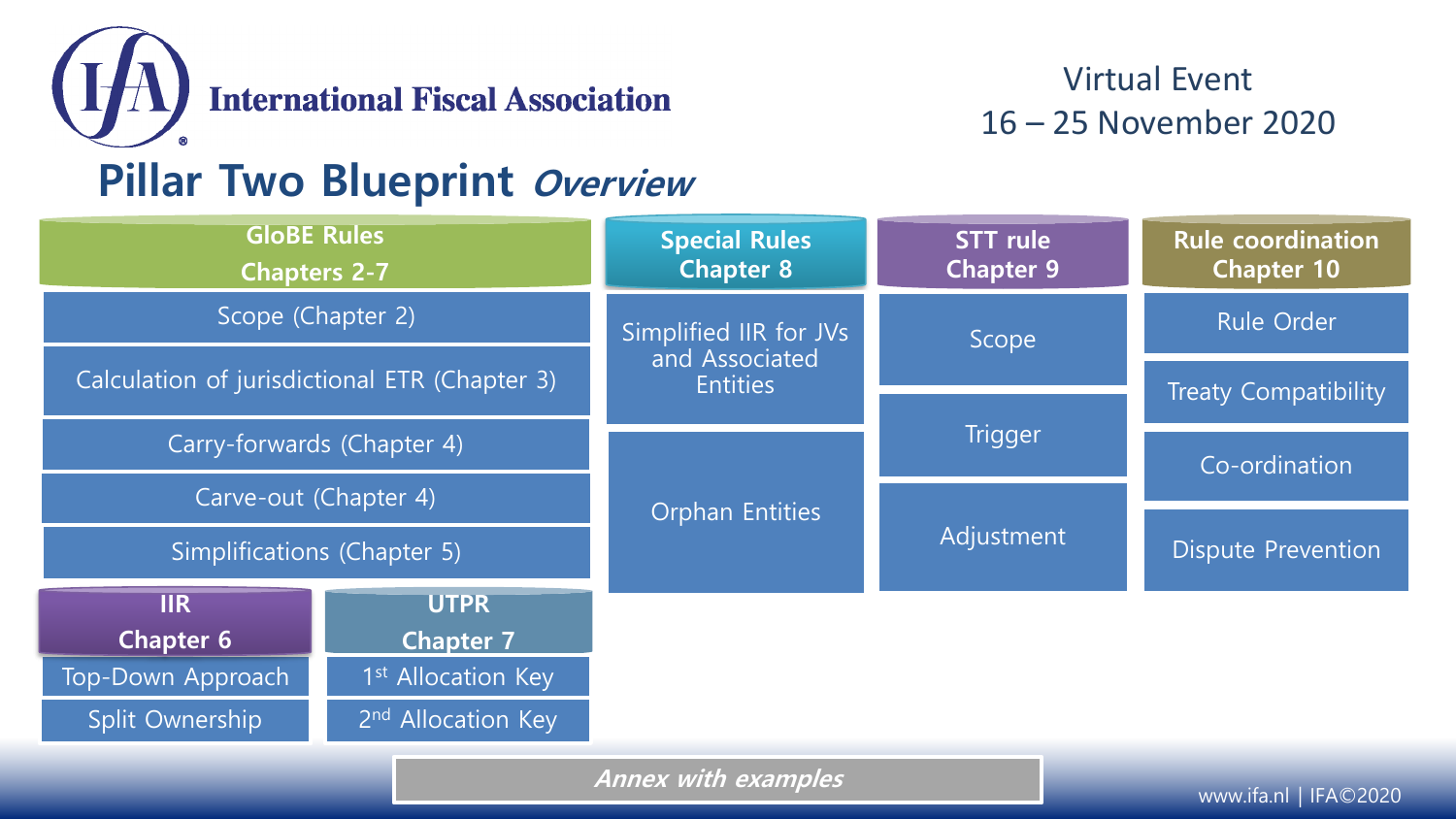

### **Pillar Two Blueprint Overview**

| <b>GloBE Rules</b><br><b>Chapters 2-7</b>     |                                | <b>Special Rules</b><br><b>Chapter 8</b>                                                                                            | <b>STT</b> rule<br><b>Chapter 9</b> | <b>Rule coordination</b><br><b>Chapter 10</b> |
|-----------------------------------------------|--------------------------------|-------------------------------------------------------------------------------------------------------------------------------------|-------------------------------------|-----------------------------------------------|
| Scope (Chapter 2)                             |                                | Simplified IIR for JVs<br>and Associated<br><b>Entities</b>                                                                         | Scope                               | Rule Order                                    |
| Calculation of jurisdictional ETR (Chapter 3) |                                |                                                                                                                                     |                                     | <b>Treaty Compatibility</b>                   |
| Carry-forwards (Chapter 4)                    |                                | <b>Orphan Entities</b>                                                                                                              | Trigger                             | Co-ordination                                 |
| Carve-out (Chapter 4)                         |                                |                                                                                                                                     |                                     |                                               |
| Simplifications (Chapter 5)                   |                                |                                                                                                                                     | Adjustment                          | <b>Dispute Prevention</b>                     |
| <b>IIR</b>                                    | <b>UTPR</b>                    |                                                                                                                                     |                                     |                                               |
| <b>Chapter 6</b>                              | <b>Chapter 7</b>               |                                                                                                                                     |                                     |                                               |
| Top-Down Approach                             | 1 <sup>st</sup> Allocation Key |                                                                                                                                     |                                     |                                               |
| Split Ownership                               | 2 <sup>nd</sup> Allocation Key |                                                                                                                                     |                                     |                                               |
|                                               |                                | $\mathbf{A}$ and $\mathbf{A}$ and $\mathbf{A}$ and $\mathbf{A}$ and $\mathbf{A}$ and $\mathbf{A}$ and $\mathbf{A}$ and $\mathbf{A}$ |                                     |                                               |

**Annex with examples**

www.ifa.nl | IFA©2020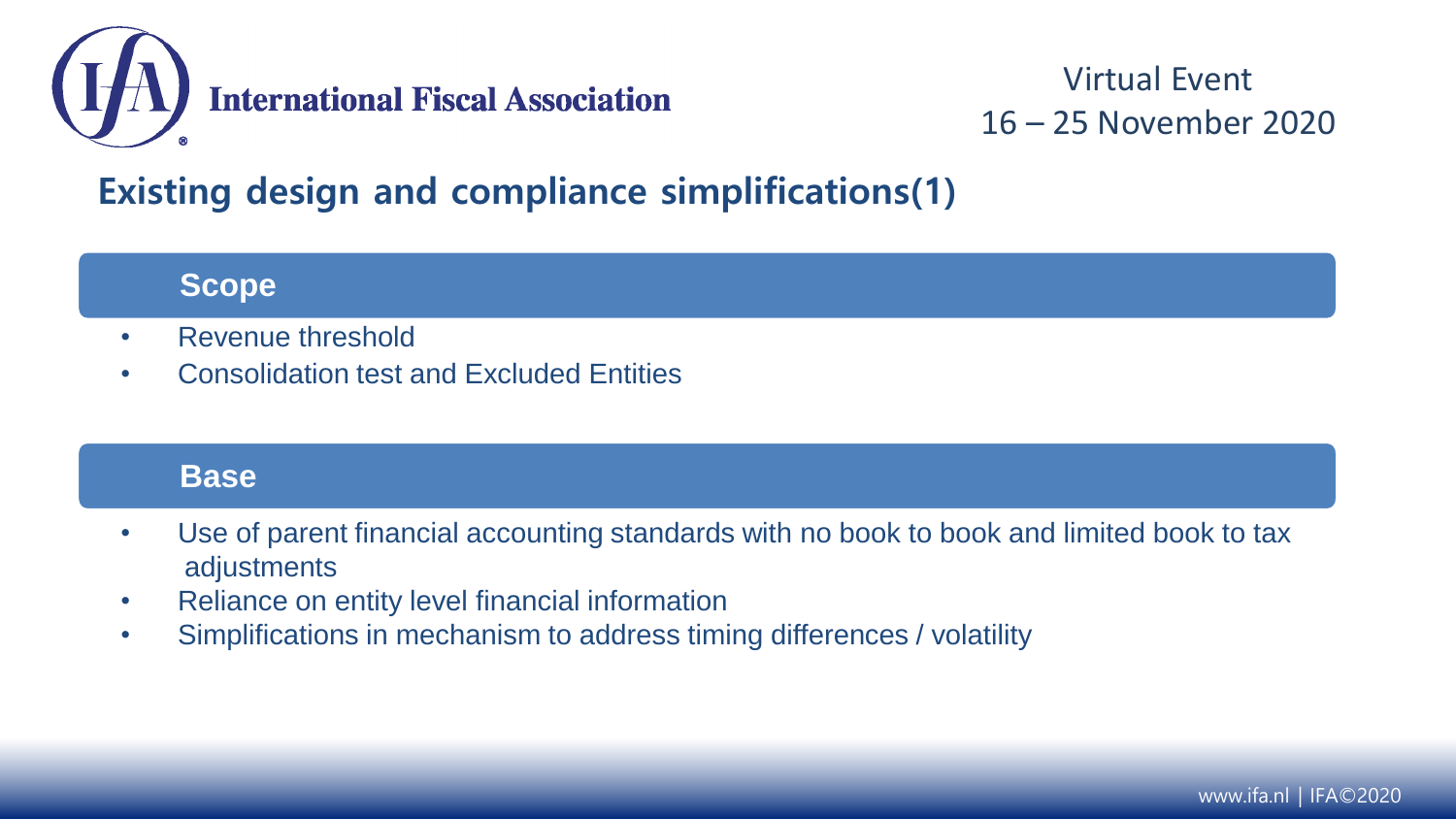

#### **Existing design and compliance simplifications(1)**

**Scope**

- Revenue threshold
- Consolidation test and Excluded Entities

#### **Base**

- Use of parent financial accounting standards with no book to book and limited book to tax adjustments
- Reliance on entity level financial information
- Simplifications in mechanism to address timing differences / volatility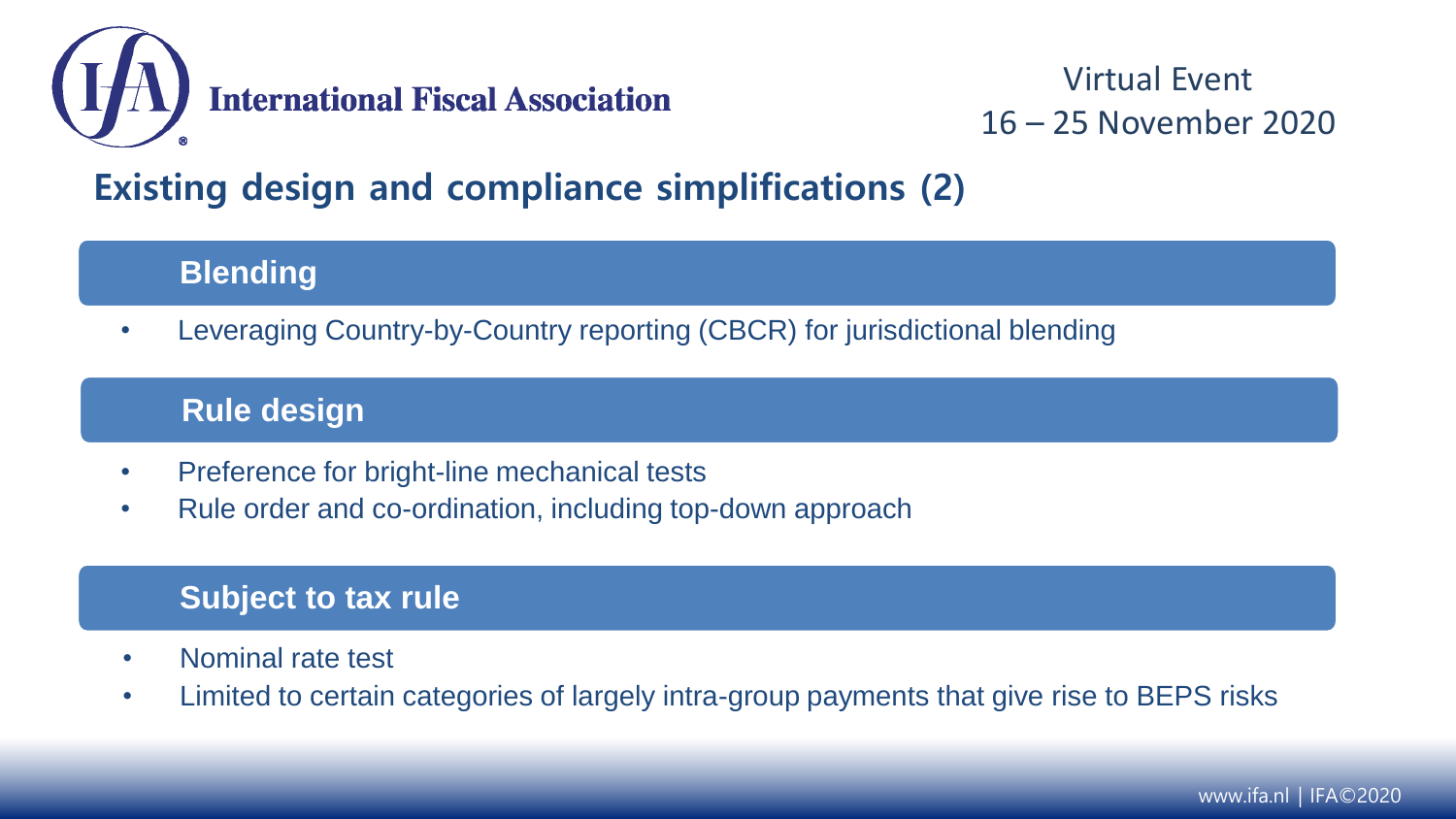

#### **Existing design and compliance simplifications (2)**

#### **Blending**

• Leveraging Country-by-Country reporting (CBCR) for jurisdictional blending

#### **Rule design**

- Preference for bright-line mechanical tests
- Rule order and co-ordination, including top-down approach

#### **Subject to tax rule**

- Nominal rate test
- Limited to certain categories of largely intra-group payments that give rise to BEPS risks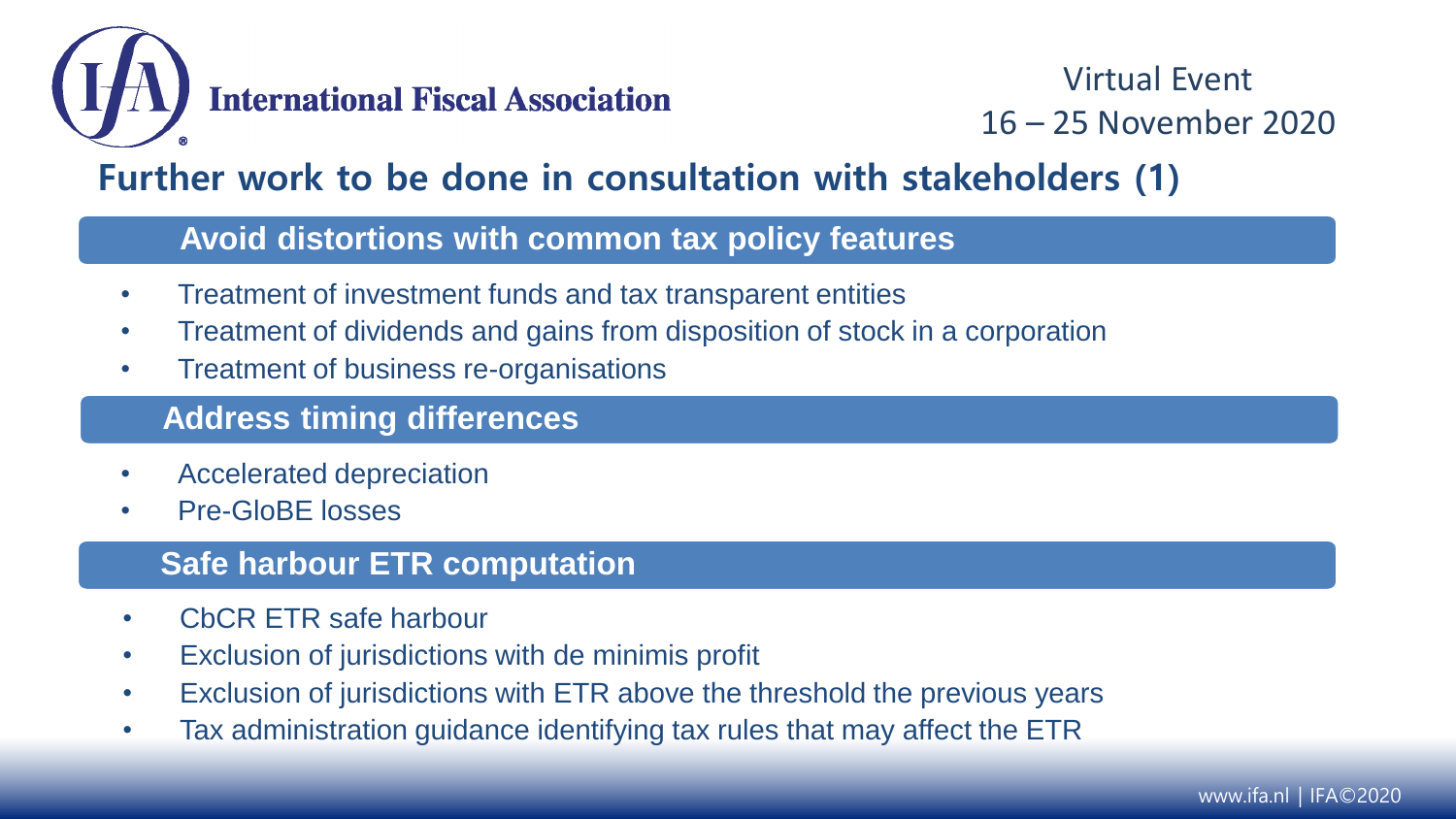

#### **Further work to be done in consultation with stakeholders (1)**

#### **Avoid distortions with common tax policy features**

- Treatment of investment funds and tax transparent entities
- Treatment of dividends and gains from disposition of stock in a corporation
- Treatment of business re-organisations

#### **Address timing differences**

- Accelerated depreciation
- Pre-GloBE losses

#### **Safe harbour ETR computation**

- CbCR ETR safe harbour
- Exclusion of jurisdictions with de minimis profit
- Exclusion of jurisdictions with ETR above the threshold the previous years
- Tax administration guidance identifying tax rules that may affect the ETR